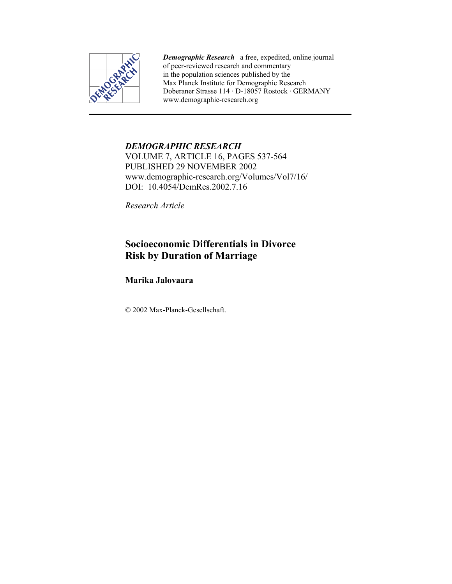

*Demographic Research* a free, expedited, online journal of peer-reviewed research and commentary in the population sciences published by the Max Planck Institute for Demographic Research Doberaner Strasse 114 · D-18057 Rostock · GERMANY www.demographic-research.org

# *DEMOGRAPHIC RESEARCH*  VOLUME 7, ARTICLE 16, PAGES 537-564 PUBLISHED 29 NOVEMBER 2002 www.demographic-research.org/Volumes/Vol7/16/ DOI: 10.4054/DemRes. 2002. 7.16

*Research Article* 

# **Socioeconomic Differentials in Divorce Risk by Duration of Marriage**

**Marika Jalovaara** 

© 2002 Max-Planck-Gesellschaft.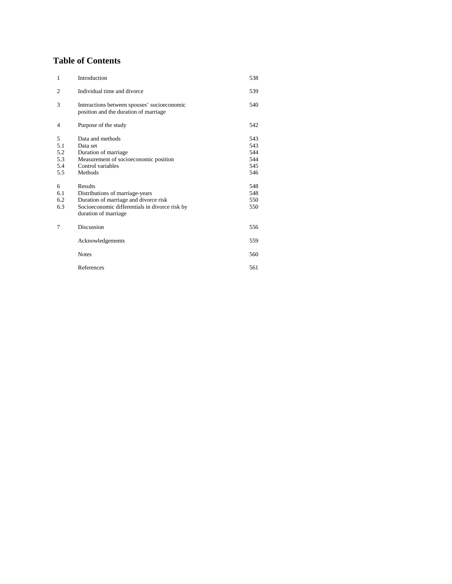# **Table of Contents**

| $\mathbf{1}$   | Introduction                                                                         | 538 |
|----------------|--------------------------------------------------------------------------------------|-----|
| $\mathfrak{2}$ | Individual time and divorce                                                          | 539 |
| 3              | Interactions between spouses' socioeconomic<br>position and the duration of marriage | 540 |
| $\overline{4}$ | Purpose of the study                                                                 | 542 |
| 5              | Data and methods                                                                     | 543 |
| 5.1            | Data set                                                                             | 543 |
| 5.2            | Duration of marriage                                                                 | 544 |
| 5.3            | Measurement of socioeconomic position                                                | 544 |
| 5.4            | Control variables                                                                    | 545 |
| 5.5            | Methods                                                                              | 546 |
| 6              | Results                                                                              | 548 |
| 6.1            | Distributions of marriage-years                                                      | 548 |
| 6.2            | Duration of marriage and divorce risk                                                | 550 |
| 6.3            | Socioeconomic differentials in divorce risk by<br>duration of marriage               | 550 |
| 7              | Discussion                                                                           | 556 |
|                | Acknowledgements                                                                     | 559 |
|                | <b>Notes</b>                                                                         | 560 |
|                | References                                                                           | 561 |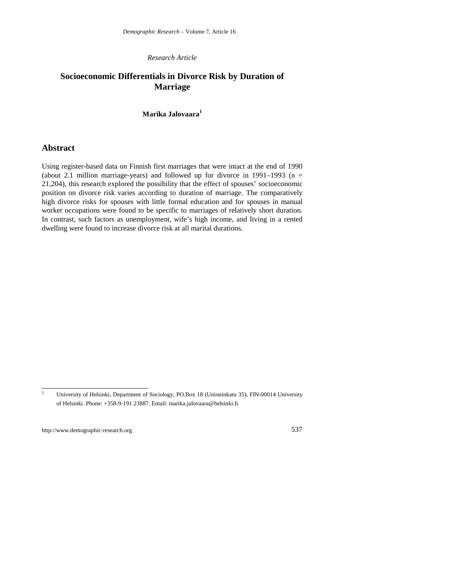*Research Article*

# **Socioeconomic Differentials in Divorce Risk by Duration of Marriage**

### **Marika Jalovaara<sup>1</sup>**

### **Abstract**

Using register-based data on Finnish first marriages that were intact at the end of 1990 (about 2.1 million marriage-years) and followed up for divorce in 1991–1993 ( $n =$ 21,204), this research explored the possibility that the effect of spouses' socioeconomic position on divorce risk varies according to duration of marriage. The comparatively high divorce risks for spouses with little formal education and for spouses in manual worker occupations were found to be specific to marriages of relatively short duration. In contrast, such factors as unemployment, wife's high income, and living in a rented dwelling were found to increase divorce risk at all marital durations.

 $\overline{1}$ <sup>1</sup> University of Helsinki, Department of Sociology, PO.Box 18 (Unioninkatu 35), FIN-00014 University of Helsinki. Phone: +358-9-191 23887. Email: marika.jalovaara@helsinki.fi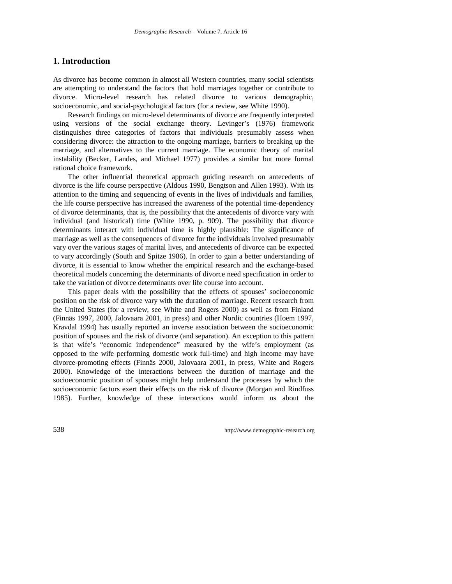# **1. Introduction**

As divorce has become common in almost all Western countries, many social scientists are attempting to understand the factors that hold marriages together or contribute to divorce. Micro-level research has related divorce to various demographic, socioeconomic, and social-psychological factors (for a review, see White 1990).

Research findings on micro-level determinants of divorce are frequently interpreted using versions of the social exchange theory. Levinger's (1976) framework distinguishes three categories of factors that individuals presumably assess when considering divorce: the attraction to the ongoing marriage, barriers to breaking up the marriage, and alternatives to the current marriage. The economic theory of marital instability (Becker, Landes, and Michael 1977) provides a similar but more formal rational choice framework.

The other influential theoretical approach guiding research on antecedents of divorce is the life course perspective (Aldous 1990, Bengtson and Allen 1993). With its attention to the timing and sequencing of events in the lives of individuals and families, the life course perspective has increased the awareness of the potential time-dependency of divorce determinants, that is, the possibility that the antecedents of divorce vary with individual (and historical) time (White 1990, p. 909). The possibility that divorce determinants interact with individual time is highly plausible: The significance of marriage as well as the consequences of divorce for the individuals involved presumably vary over the various stages of marital lives, and antecedents of divorce can be expected to vary accordingly (South and Spitze 1986). In order to gain a better understanding of divorce, it is essential to know whether the empirical research and the exchange-based theoretical models concerning the determinants of divorce need specification in order to take the variation of divorce determinants over life course into account.

This paper deals with the possibility that the effects of spouses' socioeconomic position on the risk of divorce vary with the duration of marriage. Recent research from the United States (for a review, see White and Rogers 2000) as well as from Finland (Finnäs 1997, 2000, Jalovaara 2001, in press) and other Nordic countries (Hoem 1997, Kravdal 1994) has usually reported an inverse association between the socioeconomic position of spouses and the risk of divorce (and separation). An exception to this pattern is that wife's "economic independence" measured by the wife's employment (as opposed to the wife performing domestic work full-time) and high income may have divorce-promoting effects (Finnäs 2000, Jalovaara 2001, in press, White and Rogers 2000). Knowledge of the interactions between the duration of marriage and the socioeconomic position of spouses might help understand the processes by which the socioeconomic factors exert their effects on the risk of divorce (Morgan and Rindfuss 1985). Further, knowledge of these interactions would inform us about the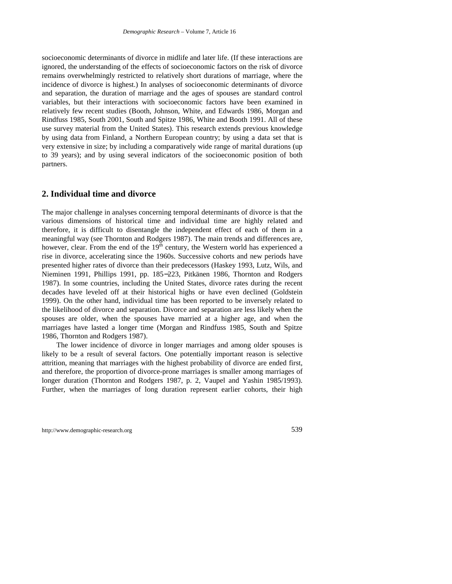socioeconomic determinants of divorce in midlife and later life. (If these interactions are ignored, the understanding of the effects of socioeconomic factors on the risk of divorce remains overwhelmingly restricted to relatively short durations of marriage, where the incidence of divorce is highest.) In analyses of socioeconomic determinants of divorce and separation, the duration of marriage and the ages of spouses are standard control variables, but their interactions with socioeconomic factors have been examined in relatively few recent studies (Booth, Johnson, White, and Edwards 1986, Morgan and Rindfuss 1985, South 2001, South and Spitze 1986, White and Booth 1991. All of these use survey material from the United States). This research extends previous knowledge by using data from Finland, a Northern European country; by using a data set that is very extensive in size; by including a comparatively wide range of marital durations (up to 39 years); and by using several indicators of the socioeconomic position of both partners.

### **2. Individual time and divorce**

The major challenge in analyses concerning temporal determinants of divorce is that the various dimensions of historical time and individual time are highly related and therefore, it is difficult to disentangle the independent effect of each of them in a meaningful way (see Thornton and Rodgers 1987). The main trends and differences are, however, clear. From the end of the  $19<sup>th</sup>$  century, the Western world has experienced a rise in divorce, accelerating since the 1960s. Successive cohorts and new periods have presented higher rates of divorce than their predecessors (Haskey 1993, Lutz, Wils, and Nieminen 1991, Phillips 1991, pp. 185−223, Pitkänen 1986, Thornton and Rodgers 1987). In some countries, including the United States, divorce rates during the recent decades have leveled off at their historical highs or have even declined (Goldstein 1999). On the other hand, individual time has been reported to be inversely related to the likelihood of divorce and separation. Divorce and separation are less likely when the spouses are older, when the spouses have married at a higher age, and when the marriages have lasted a longer time (Morgan and Rindfuss 1985, South and Spitze 1986, Thornton and Rodgers 1987).

The lower incidence of divorce in longer marriages and among older spouses is likely to be a result of several factors. One potentially important reason is selective attrition, meaning that marriages with the highest probability of divorce are ended first, and therefore, the proportion of divorce-prone marriages is smaller among marriages of longer duration (Thornton and Rodgers 1987, p. 2, Vaupel and Yashin 1985/1993). Further, when the marriages of long duration represent earlier cohorts, their high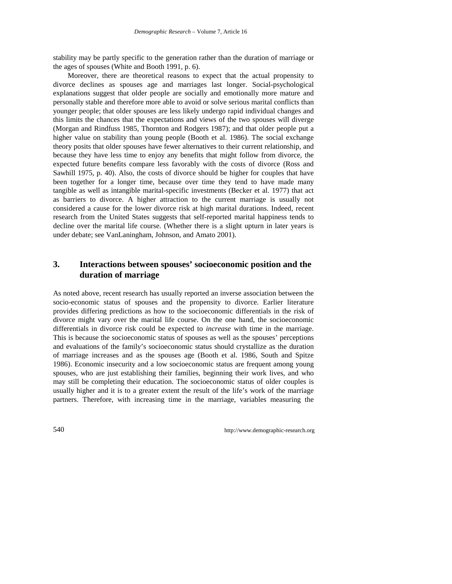stability may be partly specific to the generation rather than the duration of marriage or the ages of spouses (White and Booth 1991, p. 6).

Moreover, there are theoretical reasons to expect that the actual propensity to divorce declines as spouses age and marriages last longer. Social-psychological explanations suggest that older people are socially and emotionally more mature and personally stable and therefore more able to avoid or solve serious marital conflicts than younger people; that older spouses are less likely undergo rapid individual changes and this limits the chances that the expectations and views of the two spouses will diverge (Morgan and Rindfuss 1985, Thornton and Rodgers 1987); and that older people put a higher value on stability than young people (Booth et al. 1986). The social exchange theory posits that older spouses have fewer alternatives to their current relationship, and because they have less time to enjoy any benefits that might follow from divorce, the expected future benefits compare less favorably with the costs of divorce (Ross and Sawhill 1975, p. 40). Also, the costs of divorce should be higher for couples that have been together for a longer time, because over time they tend to have made many tangible as well as intangible marital-specific investments (Becker et al. 1977) that act as barriers to divorce. A higher attraction to the current marriage is usually not considered a cause for the lower divorce risk at high marital durations. Indeed, recent research from the United States suggests that self-reported marital happiness tends to decline over the marital life course. (Whether there is a slight upturn in later years is under debate; see VanLaningham, Johnson, and Amato 2001).

# **3. Interactions between spouses' socioeconomic position and the duration of marriage**

As noted above, recent research has usually reported an inverse association between the socio-economic status of spouses and the propensity to divorce. Earlier literature provides differing predictions as how to the socioeconomic differentials in the risk of divorce might vary over the marital life course. On the one hand, the socioeconomic differentials in divorce risk could be expected to *increase* with time in the marriage. This is because the socioeconomic status of spouses as well as the spouses' perceptions and evaluations of the family's socioeconomic status should crystallize as the duration of marriage increases and as the spouses age (Booth et al. 1986, South and Spitze 1986). Economic insecurity and a low socioeconomic status are frequent among young spouses, who are just establishing their families, beginning their work lives, and who may still be completing their education. The socioeconomic status of older couples is usually higher and it is to a greater extent the result of the life's work of the marriage partners. Therefore, with increasing time in the marriage, variables measuring the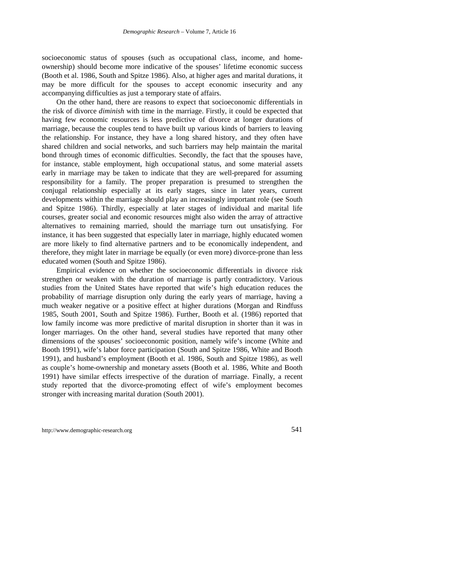socioeconomic status of spouses (such as occupational class, income, and homeownership) should become more indicative of the spouses' lifetime economic success (Booth et al. 1986, South and Spitze 1986). Also, at higher ages and marital durations, it may be more difficult for the spouses to accept economic insecurity and any accompanying difficulties as just a temporary state of affairs.

On the other hand, there are reasons to expect that socioeconomic differentials in the risk of divorce *diminish* with time in the marriage. Firstly, it could be expected that having few economic resources is less predictive of divorce at longer durations of marriage, because the couples tend to have built up various kinds of barriers to leaving the relationship. For instance, they have a long shared history, and they often have shared children and social networks, and such barriers may help maintain the marital bond through times of economic difficulties. Secondly, the fact that the spouses have, for instance, stable employment, high occupational status, and some material assets early in marriage may be taken to indicate that they are well-prepared for assuming responsibility for a family. The proper preparation is presumed to strengthen the conjugal relationship especially at its early stages, since in later years, current developments within the marriage should play an increasingly important role (see South and Spitze 1986). Thirdly, especially at later stages of individual and marital life courses, greater social and economic resources might also widen the array of attractive alternatives to remaining married, should the marriage turn out unsatisfying. For instance, it has been suggested that especially later in marriage, highly educated women are more likely to find alternative partners and to be economically independent, and therefore, they might later in marriage be equally (or even more) divorce-prone than less educated women (South and Spitze 1986).

Empirical evidence on whether the socioeconomic differentials in divorce risk strengthen or weaken with the duration of marriage is partly contradictory. Various studies from the United States have reported that wife's high education reduces the probability of marriage disruption only during the early years of marriage, having a much weaker negative or a positive effect at higher durations (Morgan and Rindfuss 1985, South 2001, South and Spitze 1986). Further, Booth et al. (1986) reported that low family income was more predictive of marital disruption in shorter than it was in longer marriages. On the other hand, several studies have reported that many other dimensions of the spouses' socioeconomic position, namely wife's income (White and Booth 1991), wife's labor force participation (South and Spitze 1986, White and Booth 1991), and husband's employment (Booth et al. 1986, South and Spitze 1986), as well as couple's home-ownership and monetary assets (Booth et al. 1986, White and Booth 1991) have similar effects irrespective of the duration of marriage. Finally, a recent study reported that the divorce-promoting effect of wife's employment becomes stronger with increasing marital duration (South 2001).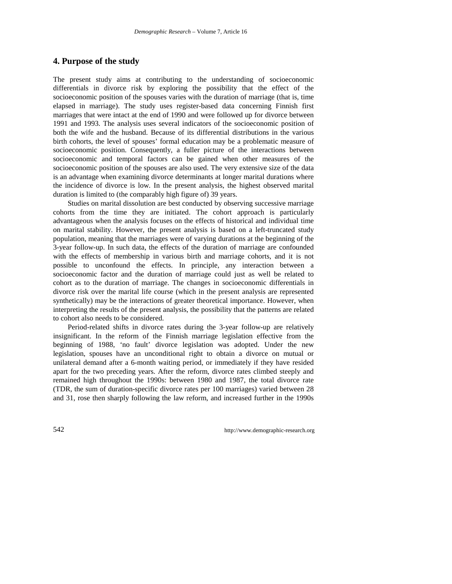# **4. Purpose of the study**

The present study aims at contributing to the understanding of socioeconomic differentials in divorce risk by exploring the possibility that the effect of the socioeconomic position of the spouses varies with the duration of marriage (that is, time elapsed in marriage). The study uses register-based data concerning Finnish first marriages that were intact at the end of 1990 and were followed up for divorce between 1991 and 1993. The analysis uses several indicators of the socioeconomic position of both the wife and the husband. Because of its differential distributions in the various birth cohorts, the level of spouses' formal education may be a problematic measure of socioeconomic position. Consequently, a fuller picture of the interactions between socioeconomic and temporal factors can be gained when other measures of the socioeconomic position of the spouses are also used. The very extensive size of the data is an advantage when examining divorce determinants at longer marital durations where the incidence of divorce is low. In the present analysis, the highest observed marital duration is limited to (the comparably high figure of) 39 years.

Studies on marital dissolution are best conducted by observing successive marriage cohorts from the time they are initiated. The cohort approach is particularly advantageous when the analysis focuses on the effects of historical and individual time on marital stability. However, the present analysis is based on a left-truncated study population, meaning that the marriages were of varying durations at the beginning of the 3-year follow-up. In such data, the effects of the duration of marriage are confounded with the effects of membership in various birth and marriage cohorts, and it is not possible to unconfound the effects. In principle, any interaction between a socioeconomic factor and the duration of marriage could just as well be related to cohort as to the duration of marriage. The changes in socioeconomic differentials in divorce risk over the marital life course (which in the present analysis are represented synthetically) may be the interactions of greater theoretical importance. However, when interpreting the results of the present analysis, the possibility that the patterns are related to cohort also needs to be considered.

Period-related shifts in divorce rates during the 3-year follow-up are relatively insignificant. In the reform of the Finnish marriage legislation effective from the beginning of 1988, 'no fault' divorce legislation was adopted. Under the new legislation, spouses have an unconditional right to obtain a divorce on mutual or unilateral demand after a 6-month waiting period, or immediately if they have resided apart for the two preceding years. After the reform, divorce rates climbed steeply and remained high throughout the 1990s: between 1980 and 1987, the total divorce rate (TDR, the sum of duration-specific divorce rates per 100 marriages) varied between 28 and 31, rose then sharply following the law reform, and increased further in the 1990s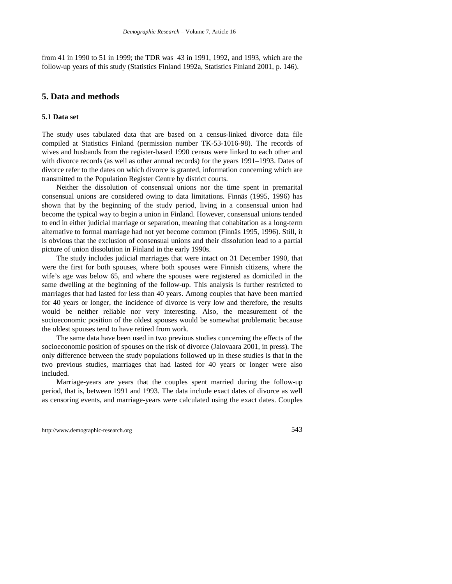from 41 in 1990 to 51 in 1999; the TDR was 43 in 1991, 1992, and 1993, which are the follow-up years of this study (Statistics Finland 1992a, Statistics Finland 2001, p. 146).

### **5. Data and methods**

#### **5.1 Data set**

The study uses tabulated data that are based on a census-linked divorce data file compiled at Statistics Finland (permission number TK-53-1016-98). The records of wives and husbands from the register-based 1990 census were linked to each other and with divorce records (as well as other annual records) for the years 1991–1993. Dates of divorce refer to the dates on which divorce is granted, information concerning which are transmitted to the Population Register Centre by district courts.

Neither the dissolution of consensual unions nor the time spent in premarital consensual unions are considered owing to data limitations. Finnäs (1995, 1996) has shown that by the beginning of the study period, living in a consensual union had become the typical way to begin a union in Finland. However, consensual unions tended to end in either judicial marriage or separation, meaning that cohabitation as a long-term alternative to formal marriage had not yet become common (Finnäs 1995, 1996). Still, it is obvious that the exclusion of consensual unions and their dissolution lead to a partial picture of union dissolution in Finland in the early 1990s.

The study includes judicial marriages that were intact on 31 December 1990, that were the first for both spouses, where both spouses were Finnish citizens, where the wife's age was below 65, and where the spouses were registered as domiciled in the same dwelling at the beginning of the follow-up. This analysis is further restricted to marriages that had lasted for less than 40 years. Among couples that have been married for 40 years or longer, the incidence of divorce is very low and therefore, the results would be neither reliable nor very interesting. Also, the measurement of the socioeconomic position of the oldest spouses would be somewhat problematic because the oldest spouses tend to have retired from work.

The same data have been used in two previous studies concerning the effects of the socioeconomic position of spouses on the risk of divorce (Jalovaara 2001, in press). The only difference between the study populations followed up in these studies is that in the two previous studies, marriages that had lasted for 40 years or longer were also included.

Marriage-years are years that the couples spent married during the follow-up period, that is, between 1991 and 1993. The data include exact dates of divorce as well as censoring events, and marriage-years were calculated using the exact dates. Couples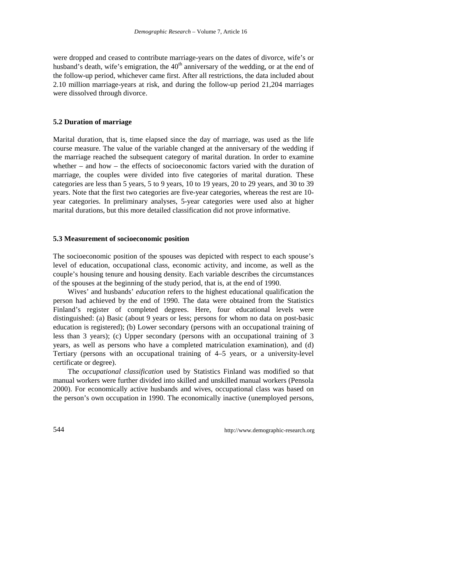were dropped and ceased to contribute marriage-years on the dates of divorce, wife's or husband's death, wife's emigration, the  $40<sup>th</sup>$  anniversary of the wedding, or at the end of the follow-up period, whichever came first. After all restrictions, the data included about 2.10 million marriage-years at risk, and during the follow-up period 21,204 marriages were dissolved through divorce.

#### **5.2 Duration of marriage**

Marital duration, that is, time elapsed since the day of marriage, was used as the life course measure. The value of the variable changed at the anniversary of the wedding if the marriage reached the subsequent category of marital duration. In order to examine whether – and how – the effects of socioeconomic factors varied with the duration of marriage, the couples were divided into five categories of marital duration. These categories are less than 5 years, 5 to 9 years, 10 to 19 years, 20 to 29 years, and 30 to 39 years. Note that the first two categories are five-year categories, whereas the rest are 10 year categories. In preliminary analyses, 5-year categories were used also at higher marital durations, but this more detailed classification did not prove informative.

#### **5.3 Measurement of socioeconomic position**

The socioeconomic position of the spouses was depicted with respect to each spouse's level of education, occupational class, economic activity, and income, as well as the couple's housing tenure and housing density. Each variable describes the circumstances of the spouses at the beginning of the study period, that is, at the end of 1990.

Wives' and husbands' *education* refers to the highest educational qualification the person had achieved by the end of 1990. The data were obtained from the Statistics Finland's register of completed degrees. Here, four educational levels were distinguished: (a) Basic (about 9 years or less; persons for whom no data on post-basic education is registered); (b) Lower secondary (persons with an occupational training of less than 3 years); (c) Upper secondary (persons with an occupational training of 3 years, as well as persons who have a completed matriculation examination), and (d) Tertiary (persons with an occupational training of 4–5 years, or a university-level certificate or degree).

The *occupational classification* used by Statistics Finland was modified so that manual workers were further divided into skilled and unskilled manual workers (Pensola 2000). For economically active husbands and wives, occupational class was based on the person's own occupation in 1990. The economically inactive (unemployed persons,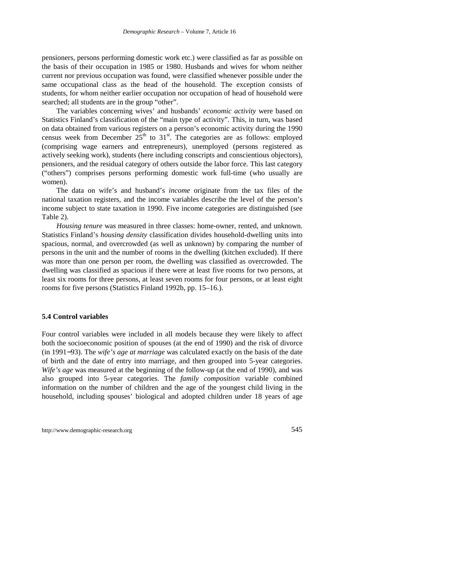pensioners, persons performing domestic work etc.) were classified as far as possible on the basis of their occupation in 1985 or 1980. Husbands and wives for whom neither current nor previous occupation was found, were classified whenever possible under the same occupational class as the head of the household. The exception consists of students, for whom neither earlier occupation nor occupation of head of household were searched; all students are in the group "other".

The variables concerning wives' and husbands' *economic activity* were based on Statistics Finland's classification of the "main type of activity". This, in turn, was based on data obtained from various registers on a person's economic activity during the 1990 census week from December  $25<sup>th</sup>$  to  $31<sup>st</sup>$ . The categories are as follows: employed (comprising wage earners and entrepreneurs), unemployed (persons registered as actively seeking work), students (here including conscripts and conscientious objectors), pensioners, and the residual category of others outside the labor force. This last category ("others") comprises persons performing domestic work full-time (who usually are women).

The data on wife's and husband's *income* originate from the tax files of the national taxation registers, and the income variables describe the level of the person's income subject to state taxation in 1990. Five income categories are distinguished (see Table 2).

*Housing tenure* was measured in three classes: home-owner, rented, and unknown. Statistics Finland's *housing density* classification divides household-dwelling units into spacious, normal, and overcrowded (as well as unknown) by comparing the number of persons in the unit and the number of rooms in the dwelling (kitchen excluded). If there was more than one person per room, the dwelling was classified as overcrowded. The dwelling was classified as spacious if there were at least five rooms for two persons, at least six rooms for three persons, at least seven rooms for four persons, or at least eight rooms for five persons (Statistics Finland 1992b, pp. 15–16.).

#### **5.4 Control variables**

Four control variables were included in all models because they were likely to affect both the socioeconomic position of spouses (at the end of 1990) and the risk of divorce (in 1991−93). The *wife's age at marriage* was calculated exactly on the basis of the date of birth and the date of entry into marriage, and then grouped into 5-year categories. *Wife's age* was measured at the beginning of the follow-up (at the end of 1990), and was also grouped into 5-year categories. The *family composition* variable combined information on the number of children and the age of the youngest child living in the household, including spouses' biological and adopted children under 18 years of age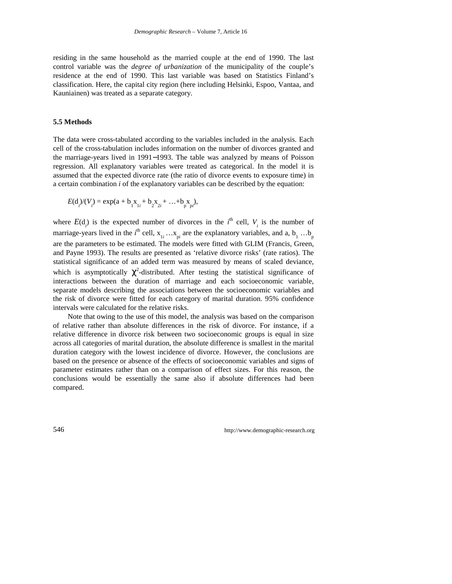residing in the same household as the married couple at the end of 1990. The last control variable was the *degree of urbanization* of the municipality of the couple's residence at the end of 1990. This last variable was based on Statistics Finland's classification. Here, the capital city region (here including Helsinki, Espoo, Vantaa, and Kauniainen) was treated as a separate category.

#### **5.5 Methods**

The data were cross-tabulated according to the variables included in the analysis. Each cell of the cross-tabulation includes information on the number of divorces granted and the marriage-years lived in 1991−1993. The table was analyzed by means of Poisson regression. All explanatory variables were treated as categorical. In the model it is assumed that the expected divorce rate (the ratio of divorce events to exposure time) in a certain combination *i* of the explanatory variables can be described by the equation:

$$
E(d_i)/(V_i) = \exp(a + b_1 x_{1i} + b_2 x_{2i} + ... + b_p x_{pi}),
$$

where  $E(d_i)$  is the expected number of divorces in the *i*<sup>th</sup> cell,  $V_i$  is the number of marriage-years lived in the *i*<sup>th</sup> cell,  $x_{1i}$  ...  $x_{pi}$  are the explanatory variables, and a,  $b_1$  ...  $b_p$ are the parameters to be estimated. The models were fitted with GLIM (Francis, Green, and Payne 1993). The results are presented as 'relative divorce risks' (rate ratios). The statistical significance of an added term was measured by means of scaled deviance, which is asymptotically  $\chi^2$ -distributed. After testing the statistical significance of interactions between the duration of marriage and each socioeconomic variable, separate models describing the associations between the socioeconomic variables and the risk of divorce were fitted for each category of marital duration. 95% confidence intervals were calculated for the relative risks.

Note that owing to the use of this model, the analysis was based on the comparison of relative rather than absolute differences in the risk of divorce. For instance, if a relative difference in divorce risk between two socioeconomic groups is equal in size across all categories of marital duration, the absolute difference is smallest in the marital duration category with the lowest incidence of divorce. However, the conclusions are based on the presence or absence of the effects of socioeconomic variables and signs of parameter estimates rather than on a comparison of effect sizes. For this reason, the conclusions would be essentially the same also if absolute differences had been compared.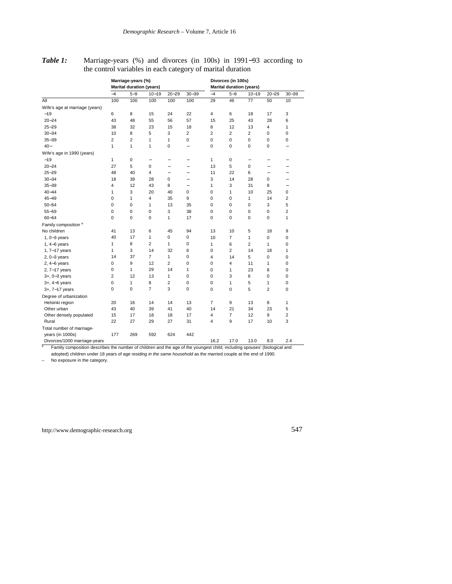|                                 |                | Marriage-years (%)              |                   |                          |                          | Divorces (in 100s) |                                 |                   |                          |                |  |  |  |  |
|---------------------------------|----------------|---------------------------------|-------------------|--------------------------|--------------------------|--------------------|---------------------------------|-------------------|--------------------------|----------------|--|--|--|--|
|                                 |                | <b>Marital duration (years)</b> |                   |                          |                          |                    | <b>Marital duration (years)</b> |                   |                          |                |  |  |  |  |
|                                 | $-4$           | $5 - 9$                         | $10 - 19$         | $20 - 29$                | $30 - 39$                | $-4$               | $5 - 9$                         | $10 - 19$         | $20 - 29$                | $30 - 39$      |  |  |  |  |
| All                             | 100            | 100                             | 100               | 100                      | 100                      | 29                 | 46                              | 77                | 50                       | 10             |  |  |  |  |
| Wife's age at marriage (years)  |                |                                 |                   |                          |                          |                    |                                 |                   |                          |                |  |  |  |  |
| $-19$                           | 6              | 8                               | 15                | 24                       | 22                       | 4                  | 6                               | 18                | 17                       | 3              |  |  |  |  |
| $20 - 24$                       | 43             | 48                              | 55                | 56                       | 57                       | 15                 | 25                              | 43                | 28                       | 6              |  |  |  |  |
| $25 - 29$                       | 38             | 32                              | 23                | 15                       | 18                       | 8                  | 12                              | 13                | 4                        | 1              |  |  |  |  |
| $30 - 34$                       | 10             | 8                               | 5                 | 3                        | $\overline{2}$           | 2                  | 2                               | $\overline{2}$    | 0                        | 0              |  |  |  |  |
| $35 - 39$                       | 2              | 2                               | 1                 | 1                        | 0                        | 0                  | 0                               | 0                 | 0                        | 0              |  |  |  |  |
| $40 -$                          | 1              | 1                               | $\mathbf{1}$      | 0                        | $\qquad \qquad -$        | 0                  | 0                               | 0                 | $\mathbf 0$              | -              |  |  |  |  |
| Wife's age in 1990 (years)      |                |                                 |                   |                          |                          |                    |                                 |                   |                          |                |  |  |  |  |
| $-19$                           | 1              | 0                               | $\qquad \qquad -$ | $\overline{\phantom{0}}$ | $\overline{\phantom{0}}$ | 1                  | 0                               | $\qquad \qquad -$ | -                        | -              |  |  |  |  |
| $20 - 24$                       | 27             | 5                               | 0                 | $\overline{\phantom{0}}$ | $\overline{\phantom{0}}$ | 13                 | 5                               | 0                 | $\overline{\phantom{0}}$ | -              |  |  |  |  |
| $25 - 29$                       | 48             | 40                              | $\overline{4}$    | $\qquad \qquad -$        | $\qquad \qquad -$        | 11                 | 22                              | 6                 | $\qquad \qquad -$        | -              |  |  |  |  |
| $30 - 34$                       | 18             | 39                              | 28                | 0                        | $\qquad \qquad -$        | 3                  | 14                              | 28                | 0                        | -              |  |  |  |  |
| $35 - 39$                       | 4              | 12                              | 43                | 8                        | $\qquad \qquad -$        | 1                  | 3                               | 31                | 8                        | -              |  |  |  |  |
| $40 - 44$                       | 1              | 3                               | 20                | 40                       | 0                        | 0                  | 1                               | 10                | 25                       | 0              |  |  |  |  |
| $45 - 49$                       | 0              | 1                               | 4                 | 35                       | 9                        | 0                  | 0                               | 1                 | 14                       | $\overline{2}$ |  |  |  |  |
| $50 - 54$                       | 0              | 0                               | 1                 | 13                       | 35                       | 0                  | 0                               | 0                 | 3                        | 5              |  |  |  |  |
| $55 - 59$                       | 0              | 0                               | 0                 | 3                        | 38                       | 0                  | 0                               | 0                 | 0                        | 2              |  |  |  |  |
| $60 - 64$                       | 0              | 0                               | 0                 | 1                        | 17                       | 0                  | 0                               | 0                 | 0                        | 1              |  |  |  |  |
| Family composition <sup>a</sup> |                |                                 |                   |                          |                          |                    |                                 |                   |                          |                |  |  |  |  |
| No children                     | 41             | 13                              | 6                 | 45                       | 94                       | 13                 | 10                              | 5                 | 18                       | 9              |  |  |  |  |
| $1, 0-3$ years                  | 40             | 17                              | $\mathbf{1}$      | 0                        | 0                        | 10                 | $\overline{7}$                  | $\mathbf{1}$      | 0                        | 0              |  |  |  |  |
| 1, $4-6$ years                  | 1              | 8                               | $\overline{c}$    | 1                        | 0                        | 1                  | 6                               | 2                 | 1                        | 0              |  |  |  |  |
| 1, 7-17 years                   | 1              | 3                               | 14                | 32                       | 6                        | 0                  | 2                               | 14                | 18                       | 1              |  |  |  |  |
| $2, 0-3$ years                  | 14             | 37                              | $\overline{7}$    | 1                        | 0                        | 4                  | 14                              | 5                 | 0                        | 0              |  |  |  |  |
| $2, 4-6$ years                  | 0              | 9                               | 12                | $\overline{2}$           | 0                        | 0                  | 4                               | 11                | 1                        | 0              |  |  |  |  |
| 2, 7-17 years                   | 0              | 1                               | 29                | 14                       | $\mathbf{1}$             | 0                  | 1                               | 23                | 8                        | 0              |  |  |  |  |
| $3+$ , $0-3$ years              | $\overline{2}$ | 12                              | 13                | 1                        | 0                        | 0                  | 3                               | 6                 | 0                        | 0              |  |  |  |  |
| 3+, 4-6 years                   | 0              | 1                               | 8                 | $\overline{2}$           | 0                        | 0                  | 1                               | 5                 | 1                        | 0              |  |  |  |  |
| 3+, 7-17 years                  | 0              | $\mathbf 0$                     | $\overline{7}$    | 3                        | 0                        | $\mathbf 0$        | 0                               | 5                 | 2                        | 0              |  |  |  |  |
| Degree of urbanization          |                |                                 |                   |                          |                          |                    |                                 |                   |                          |                |  |  |  |  |
| Helsinki region                 | 20             | 16                              | 14                | 14                       | 13                       | 7                  | 9                               | 13                | 8                        | 1              |  |  |  |  |
| Other urban                     | 43             | 40                              | 39                | 41                       | 40                       | 14                 | 21                              | 34                | 23                       | 5              |  |  |  |  |
| Other densely populated         | 15             | 17                              | 18                | 18                       | 17                       | 4                  | 7                               | 12                | 9                        | $\overline{c}$ |  |  |  |  |
| Rural                           | 22             | 27                              | 29                | 27                       | 31                       | 4                  | 9                               | 17                | 10                       | 3              |  |  |  |  |
| Total number of marriage-       |                |                                 |                   |                          |                          |                    |                                 |                   |                          |                |  |  |  |  |
| years (in 1000s)                | 177            | 269                             | 592               | 624                      | 442                      |                    |                                 |                   |                          |                |  |  |  |  |
| Divorces/1000 marriage-years    |                |                                 |                   |                          |                          | 16.2               | 17.0                            | 13.0              | 8.0                      | 2.4            |  |  |  |  |

| Table 1: | Marriage-years (%) and divorces (in 100s) in 1991–93 according to |  |  |  |  |
|----------|-------------------------------------------------------------------|--|--|--|--|
|          | the control variables in each category of marital duration        |  |  |  |  |

<sup>a</sup> Family composition describes the number of children and the age of the youngest child; including spouses' (biological and adopted) children under 18 years of age residing in the same household as the married couple at the end of 1990.

– No exposure in the category.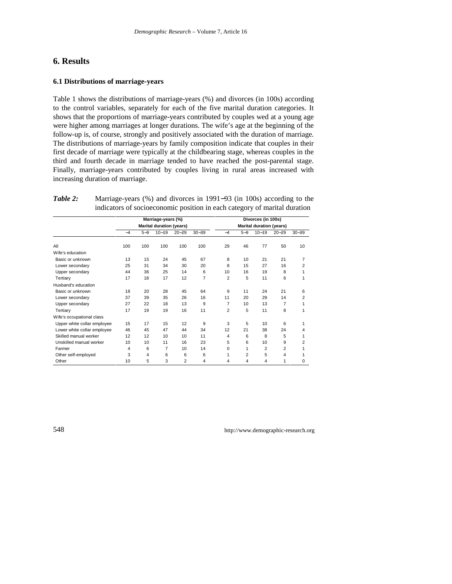### **6. Results**

#### **6.1 Distributions of marriage-years**

Table 1 shows the distributions of marriage-years (%) and divorces (in 100s) according to the control variables, separately for each of the five marital duration categories. It shows that the proportions of marriage-years contributed by couples wed at a young age were higher among marriages at longer durations. The wife's age at the beginning of the follow-up is, of course, strongly and positively associated with the duration of marriage. The distributions of marriage-years by family composition indicate that couples in their first decade of marriage were typically at the childbearing stage, whereas couples in the third and fourth decade in marriage tended to have reached the post-parental stage. Finally, marriage-years contributed by couples living in rural areas increased with increasing duration of marriage.

|                             |      |         | Marriage-years (%)              |           |           |                                 |         | Divorces (in 100s) |           |                |  |  |  |
|-----------------------------|------|---------|---------------------------------|-----------|-----------|---------------------------------|---------|--------------------|-----------|----------------|--|--|--|
|                             |      |         | <b>Marital duration (years)</b> |           |           | <b>Marital duration (years)</b> |         |                    |           |                |  |  |  |
|                             | $-4$ | $5 - 9$ | $10 - 19$                       | $20 - 29$ | $30 - 39$ | $-4$                            | $5 - 9$ | $10 - 19$          | $20 - 29$ | $30 - 39$      |  |  |  |
| All                         | 100  | 100     | 100                             | 100       | 100       | 29                              | 46      | 77                 | 50        | 10             |  |  |  |
| Wife's education            |      |         |                                 |           |           |                                 |         |                    |           |                |  |  |  |
| Basic or unknown            | 13   | 15      | 24                              | 45        | 67        | 8                               | 10      | 21                 | 21        | 7              |  |  |  |
| Lower secondary             | 25   | 31      | 34                              | 30        | 20        | 8                               | 15      | 27                 | 16        | $\overline{2}$ |  |  |  |
| Upper secondary             | 44   | 36      | 25                              | 14        | 6         | 10                              | 16      | 19                 | 8         | 1              |  |  |  |
| Tertiary                    | 17   | 18      | 17                              | 12        | 7         | $\overline{2}$                  | 5       | 11                 | 6         | 1              |  |  |  |
| Husband's education         |      |         |                                 |           |           |                                 |         |                    |           |                |  |  |  |
| Basic or unknown            | 18   | 20      | 28                              | 45        | 64        | 9                               | 11      | 24                 | 21        | 6              |  |  |  |
| Lower secondary             | 37   | 39      | 35                              | 26        | 16        | 11                              | 20      | 29                 | 14        | 2              |  |  |  |
| Upper secondary             | 27   | 22      | 18                              | 13        | 9         | 7                               | 10      | 13                 | 7         | 1              |  |  |  |
| Tertiary                    | 17   | 19      | 19                              | 16        | 11        | $\overline{2}$                  | 5       | 11                 | 8         | 1              |  |  |  |
| Wife's occupational class   |      |         |                                 |           |           |                                 |         |                    |           |                |  |  |  |
| Upper white collar employee | 15   | 17      | 15                              | 12        | 9         | 3                               | 5       | 10                 | 6         | 1              |  |  |  |
| Lower white collar employee | 46   | 45      | 47                              | 44        | 34        | 12                              | 21      | 38                 | 24        | 4              |  |  |  |
| Skilled manual worker       | 12   | 12      | 10                              | 10        | 11        | 4                               | 6       | 8                  | 5         | 1              |  |  |  |
| Unskilled manual worker     | 10   | 10      | 11                              | 16        | 23        | 5                               | 6       | 10                 | 9         | 2              |  |  |  |
| Farmer                      | 4    | 6       | 7                               | 10        | 14        | 0                               | 1       | $\overline{2}$     | 2         | 1              |  |  |  |
| Other self-employed         | 3    | 4       | 6                               | 6         | 6         | 1                               | 2       | 5                  | 4         | 1              |  |  |  |
| Other                       | 10   | 5       | 3                               | 2         | 4         | 4                               | 4       | 4                  | 1         | 0              |  |  |  |

| Table 2: | Marriage-years (%) and divorces in 1991–93 (in 100s) according to the     |
|----------|---------------------------------------------------------------------------|
|          | indicators of socioeconomic position in each category of marital duration |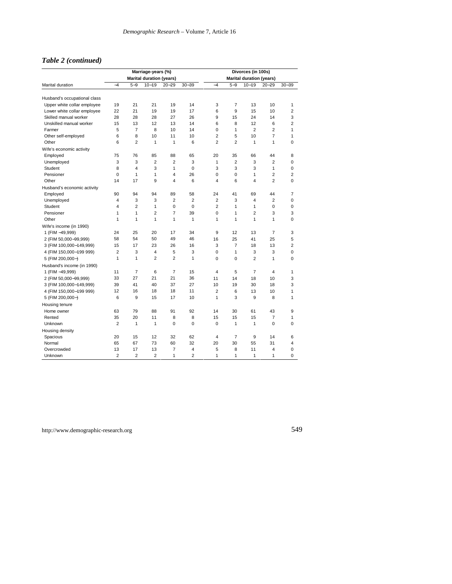# *Table 2 (continued)*

|                              |                |                         | Marriage-years (%)              |                |                         | Divorces (in 100s) |                |                                 |                |                |  |  |  |  |
|------------------------------|----------------|-------------------------|---------------------------------|----------------|-------------------------|--------------------|----------------|---------------------------------|----------------|----------------|--|--|--|--|
|                              |                |                         | <b>Marital duration (years)</b> |                |                         |                    |                | <b>Marital duration (years)</b> |                |                |  |  |  |  |
| Marital duration             | $-4$           | $5 - 9$                 | $10 - 19$                       | $20 - 29$      | $30 - 39$               | $-4$               | $5 - 9$        | $10 - 19$                       | $20 - 29$      | $30 - 39$      |  |  |  |  |
| Husband's occupational class |                |                         |                                 |                |                         |                    |                |                                 |                |                |  |  |  |  |
| Upper white collar employee  | 19             | 21                      | 21                              | 19             | 14                      | 3                  | $\overline{7}$ | 13                              | 10             | 1              |  |  |  |  |
| Lower white collar employee  | 22             | 21                      | 19                              | 19             | 17                      | 6                  | 9              | 15                              | 10             | $\overline{c}$ |  |  |  |  |
| Skilled manual worker        | 28             | 28                      | 28                              | 27             | 26                      | 9                  | 15             | 24                              | 14             | 3              |  |  |  |  |
| Unskilled manual worker      | 15             | 13                      | 12                              | 13             | 14                      | 6                  | 8              | 12                              | 6              | $\overline{c}$ |  |  |  |  |
| Farmer                       | 5              | $\overline{7}$          | 8                               | 10             | 14                      | 0                  | $\mathbf{1}$   | $\overline{2}$                  | $\overline{2}$ | $\mathbf{1}$   |  |  |  |  |
| Other self-employed          | 6              | 8                       | 10                              | 11             | 10                      | $\overline{2}$     | 5              | 10                              | $\overline{7}$ | $\mathbf{1}$   |  |  |  |  |
| Other                        | 6              | $\overline{2}$          | $\mathbf{1}$                    | $\mathbf{1}$   | 6                       | $\overline{2}$     | $\overline{2}$ | 1                               | $\mathbf{1}$   | $\mathbf 0$    |  |  |  |  |
| Wife's economic activity     |                |                         |                                 |                |                         |                    |                |                                 |                |                |  |  |  |  |
| Employed                     | 75             | 76                      | 85                              | 88             | 65                      | 20                 | 35             | 66                              | 44             | 8              |  |  |  |  |
| Unemployed                   | 3              | 3                       | $\overline{2}$                  | $\overline{2}$ | 3                       | 1                  | $\overline{2}$ | 3                               | $\overline{2}$ | 0              |  |  |  |  |
| Student                      | 8              | $\overline{\mathbf{4}}$ | 3                               | $\mathbf{1}$   | 0                       | 3                  | 3              | 3                               | 1              | 0              |  |  |  |  |
| Pensioner                    | 0              | $\mathbf{1}$            | 1                               | 4              | 26                      | 0                  | 0              | 1                               | $\overline{2}$ | $\overline{2}$ |  |  |  |  |
| Other                        | 14             | 17                      | 9                               | 4              | 6                       | 4                  | 6              | 4                               | $\overline{2}$ | $\Omega$       |  |  |  |  |
| Husband's economic activity  |                |                         |                                 |                |                         |                    |                |                                 |                |                |  |  |  |  |
| Employed                     | 90             | 94                      | 94                              | 89             | 58                      | 24                 | 41             | 69                              | 44             | 7              |  |  |  |  |
| Unemployed                   | 4              | 3                       | 3                               | $\overline{2}$ | $\overline{2}$          | $\overline{2}$     | 3              | 4                               | $\overline{2}$ | 0              |  |  |  |  |
| Student                      | 4              | $\overline{2}$          | 1                               | $\overline{0}$ | $\mathbf 0$             | $\overline{2}$     | 1              | 1                               | $\mathbf 0$    | 0              |  |  |  |  |
| Pensioner                    | 1              | $\mathbf{1}$            | $\overline{2}$                  | $\overline{7}$ | 39                      | $\Omega$           | 1              | $\overline{2}$                  | 3              | 3              |  |  |  |  |
| Other                        | 1              | 1                       | $\mathbf{1}$                    | $\mathbf{1}$   | 1                       | 1                  | 1              | 1                               | 1              | 0              |  |  |  |  |
| Wife's income (in 1990)      |                |                         |                                 |                |                         |                    |                |                                 |                |                |  |  |  |  |
| 1 (FIM-49,999)               | 24             | 25                      | 20                              | 17             | 34                      | 9                  | 12             | 13                              | $\overline{7}$ | 3              |  |  |  |  |
| 2 (FIM 50,000-99,999)        | 58             | 54                      | 50                              | 49             | 46                      | 16                 | 25             | 41                              | 25             | 5              |  |  |  |  |
| 3 (FIM 100,000-149,999)      | 15             | 17                      | 23                              | 26             | 16                      | 3                  | $\overline{7}$ | 18                              | 13             | 2              |  |  |  |  |
| 4 (FIM 150,000-199 999)      | $\overline{2}$ | 3                       | 4                               | 5              | 3                       | 0                  | 1              | 3                               | 3              | 0              |  |  |  |  |
| 5 (FIM 200,000-)             | $\mathbf{1}$   | $\mathbf{1}$            | $\overline{2}$                  | $\overline{2}$ | $\mathbf{1}$            | 0                  | 0              | $\overline{2}$                  | 1              | 0              |  |  |  |  |
| Husband's income (in 1990)   |                |                         |                                 |                |                         |                    |                |                                 |                |                |  |  |  |  |
| 1 (FIM-49,999)               | 11             | 7                       | 6                               | 7              | 15                      | 4                  | 5              | $\overline{7}$                  | 4              | $\mathbf{1}$   |  |  |  |  |
| 2 (FIM 50,000-99,999)        | 33             | 27                      | 21                              | 21             | 36                      | 11                 | 14             | 18                              | 10             | 3              |  |  |  |  |
| 3 (FIM 100,000-149,999)      | 39             | 41                      | 40                              | 37             | 27                      | 10                 | 19             | 30                              | 18             | 3              |  |  |  |  |
| 4 (FIM 150,000-199 999)      | 12             | 16                      | 18                              | 18             | 11                      | $\overline{2}$     | 6              | 13                              | 10             | 1              |  |  |  |  |
| 5 (FIM 200,000-)             | 6              | 9                       | 15                              | 17             | 10                      | 1                  | 3              | 9                               | 8              | 1              |  |  |  |  |
| Housing tenure               |                |                         |                                 |                |                         |                    |                |                                 |                |                |  |  |  |  |
| Home owner                   | 63             | 79                      | 88                              | 91             | 92                      | 14                 | 30             | 61                              | 43             | 9              |  |  |  |  |
| Rented                       | 35             | 20                      | 11                              | 8              | 8                       | 15                 | 15             | 15                              | $\overline{7}$ | 1              |  |  |  |  |
| Unknown                      | $\overline{2}$ | 1                       | 1                               | $\mathbf 0$    | $\mathbf 0$             | 0                  | 1              | 1                               | $\Omega$       | 0              |  |  |  |  |
| Housing density              |                |                         |                                 |                |                         |                    |                |                                 |                |                |  |  |  |  |
| Spacious                     | 20             | 15                      | 12                              | 32             | 62                      | 4                  | $\overline{7}$ | 9                               | 14             | 6              |  |  |  |  |
| Normal                       | 65             | 67                      | 73                              | 60             | 32                      | 20                 | 30             | 55                              | 31             | 4              |  |  |  |  |
| Overcrowded                  | 13             | 17                      | 13                              | 7              | $\overline{\mathbf{4}}$ | 5                  | 8              | 11                              | 4              | 0              |  |  |  |  |
| Unknown                      | $\overline{2}$ | $\overline{2}$          | $\overline{2}$                  | $\mathbf{1}$   | $\overline{2}$          | 1                  | $\mathbf{1}$   | 1                               | 1              | $\Omega$       |  |  |  |  |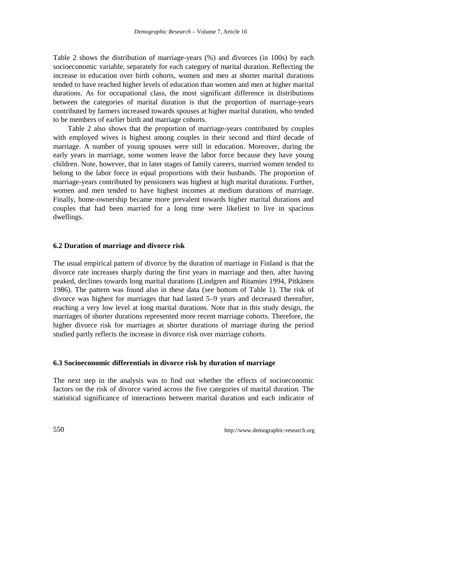Table 2 shows the distribution of marriage-years (%) and divorces (in 100s) by each socioeconomic variable, separately for each category of marital duration. Reflecting the increase in education over birth cohorts, women and men at shorter marital durations tended to have reached higher levels of education than women and men at higher marital durations. As for occupational class, the most significant difference in distributions between the categories of marital duration is that the proportion of marriage-years contributed by farmers increased towards spouses at higher marital duration, who tended to be members of earlier birth and marriage cohorts.

Table 2 also shows that the proportion of marriage-years contributed by couples with employed wives is highest among couples in their second and third decade of marriage. A number of young spouses were still in education. Moreover, during the early years in marriage, some women leave the labor force because they have young children. Note, however, that in later stages of family careers, married women tended to belong to the labor force in equal proportions with their husbands. The proportion of marriage-years contributed by pensioners was highest at high marital durations. Further, women and men tended to have highest incomes at medium durations of marriage. Finally, home-ownership became more prevalent towards higher marital durations and couples that had been married for a long time were likeliest to live in spacious dwellings.

#### **6.2 Duration of marriage and divorce risk**

The usual empirical pattern of divorce by the duration of marriage in Finland is that the divorce rate increases sharply during the first years in marriage and then, after having peaked, declines towards long marital durations (Lindgren and Ritamies 1994, Pitkänen 1986). The pattern was found also in these data (see bottom of Table 1). The risk of divorce was highest for marriages that had lasted 5–9 years and decreased thereafter, reaching a very low level at long marital durations. Note that in this study design, the marriages of shorter durations represented more recent marriage cohorts. Therefore, the higher divorce risk for marriages at shorter durations of marriage during the period studied partly reflects the increase in divorce risk over marriage cohorts.

#### **6.3 Socioeconomic differentials in divorce risk by duration of marriage**

The next step in the analysis was to find out whether the effects of socioeconomic factors on the risk of divorce varied across the five categories of marital duration. The statistical significance of interactions between marital duration and each indicator of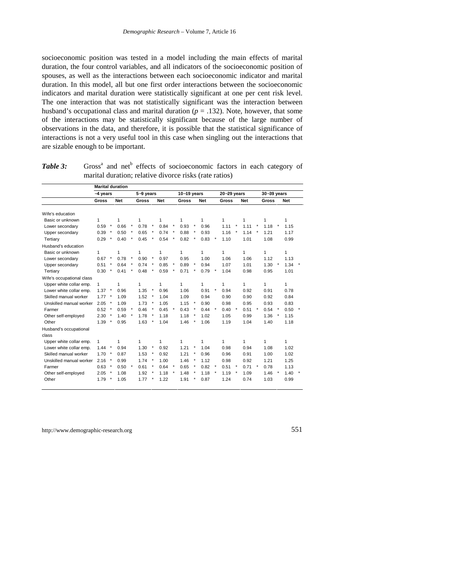socioeconomic position was tested in a model including the main effects of marital duration, the four control variables, and all indicators of the socioeconomic position of spouses, as well as the interactions between each socioeconomic indicator and marital duration. In this model, all but one first order interactions between the socioeconomic indicators and marital duration were statistically significant at one per cent risk level. The one interaction that was not statistically significant was the interaction between husband's occupational class and marital duration ( $p = .132$ ). Note, however, that some of the interactions may be statistically significant because of the large number of observations in the data, and therefore, it is possible that the statistical significance of interactions is not a very useful tool in this case when singling out the interactions that are sizable enough to be important.

|                           |              |          | <b>Marital duration</b> |          |              |          |               |          |              |          |                 |         |                 |            |              |            |  |
|---------------------------|--------------|----------|-------------------------|----------|--------------|----------|---------------|----------|--------------|----------|-----------------|---------|-----------------|------------|--------------|------------|--|
|                           | $-4$ years   |          | $5-9$ years             |          |              |          | $10-19$ years |          |              |          | $20 - 29$ years |         | $30 - 39$ years |            |              |            |  |
|                           | <b>Gross</b> |          | <b>Net</b>              |          | <b>Gross</b> |          | <b>Net</b>    |          | <b>Gross</b> |          | <b>Net</b>      |         | <b>Gross</b>    | <b>Net</b> | <b>Gross</b> | <b>Net</b> |  |
| Wife's education          |              |          |                         |          |              |          |               |          |              |          |                 |         |                 |            |              |            |  |
| Basic or unknown          | 1            |          | 1                       |          | 1            |          | 1             |          | 1            |          | 1               |         | 1               | 1          | 1            | 1          |  |
| Lower secondary           | 0.59         |          | 0.66                    |          | 0.78         |          | 0.84          |          | 0.93         |          | 0.96            |         | 1.11            | 1.11       | 1.18         | 1.15       |  |
| Upper secondary           | 0.39         |          | 0.50                    |          | 0.65         |          | 0.74          |          | 0.88         |          | 0.93            |         | 1.16            | 1.14       | 1.21         | 1.17       |  |
| Tertiary                  | 0.29         | $^\star$ | 0.40                    | $\star$  | 0.45         | $\star$  | 0.54          | $^\star$ | 0.82         | $\star$  | 0.83            | $\star$ | 1.10            | 1.01       | 1.08         | 0.99       |  |
| Husband's education       |              |          |                         |          |              |          |               |          |              |          |                 |         |                 |            |              |            |  |
| Basic or unknown          | 1            |          | 1                       |          | 1            |          | 1             |          | 1            |          | 1               |         | 1               | 1          | 1            | 1          |  |
| Lower secondary           | 0.67         | $\star$  | 0.78                    | $^\star$ | 0.90         | $^\star$ | 0.97          |          | 0.95         |          | 1.00            |         | 1.06            | 1.06       | 1.12         | 1.13       |  |
| Upper secondary           | 0.51         |          | 0.64                    |          | 0.74         |          | 0.85          |          | 0.89         |          | 0.94            |         | 1.07            | 1.01       | 1.30         | 1.34       |  |
| Tertiary                  | 0.30         |          | 0.41                    |          | 0.48         |          | 0.59          |          | 0.71         |          | 0.79            |         | 1.04            | 0.98       | 0.95         | 1.01       |  |
| Wife's occupational class |              |          |                         |          |              |          |               |          |              |          |                 |         |                 |            |              |            |  |
| Upper white collar emp.   | 1            |          | 1                       |          | 1            |          | 1             |          | 1            |          | 1               |         | 1               | 1          | 1            | 1          |  |
| Lower white collar emp.   | 1.37         | $\star$  | 0.96                    |          | 1.35         |          | 0.96          |          | 1.06         |          | 0.91            |         | 0.94            | 0.92       | 0.91         | 0.78       |  |
| Skilled manual worker     | 1.77         | $^\star$ | 1.09                    |          | 1.52         | ×        | 1.04          |          | 1.09         |          | 0.94            |         | 0.90            | 0.90       | 0.92         | 0.84       |  |
| Unskilled manual worker   | 2.05         |          | 1.09                    |          | 1.73         |          | 1.05          |          | 1.15         |          | 0.90            |         | 0.98            | 0.95       | 0.93         | 0.83       |  |
| Farmer                    | 0.52         |          | 0.59                    |          | 0.46         |          | 0.45          |          | 0.43         |          | 0.44            | $\star$ | 0.40            | 0.51       | 0.54         | 0.50       |  |
| Other self-employed       | 2.30         |          | 1.40                    |          | 1.78         |          | 1.18          |          | 1.18         |          | 1.02            |         | 1.05            | 0.99       | 1.36         | 1.15       |  |
| Other                     | 1.39         | $\star$  | 0.95                    |          | 1.63         | $\star$  | 1.04          |          | 1.46         |          | 1.06            |         | 1.19            | 1.04       | 1.40         | 1.18       |  |
| Husband's occupational    |              |          |                         |          |              |          |               |          |              |          |                 |         |                 |            |              |            |  |
| class                     |              |          |                         |          |              |          |               |          |              |          |                 |         |                 |            |              |            |  |
| Upper white collar emp.   | 1            |          | 1                       |          | 1            |          | 1             |          | 1            |          | 1               |         | 1               | 1          | 1            | 1          |  |
| Lower white collar emp.   | 1.44         |          | 0.94                    |          | 1.30         |          | 0.92          |          | 1.21         |          | 1.04            |         | 0.98            | 0.94       | 1.08         | 1.02       |  |
| Skilled manual worker     | 1.70         |          | 0.87                    |          | 1.53         | $^\star$ | 0.92          |          | 1.21         |          | 0.96            |         | 0.96            | 0.91       | 1.00         | 1.02       |  |
| Unskilled manual worker   | 2.16         | $\star$  | 0.99                    |          | 1.74         | $^\star$ | 1.00          |          | 1.46         | $^\star$ | 1.12            |         | 0.98            | 0.92       | 1.21         | 1.25       |  |
| Farmer                    | 0.63         |          | 0.50                    |          | 0.61         |          | 0.64          |          | 0.65         |          | 0.82            |         | 0.51            | 0.71       | 0.78         | 1.13       |  |
| Other self-employed       | 2.05         |          | 1.08                    |          | 1.92         |          | 1.18          |          | 1.48         |          | 1.18            |         | 1.19            | 1.09       | 1.46         | 1.40       |  |
| Other                     | 1.79         |          | 1.05                    |          | 1.77         | ż        | 1.22          |          | 1.91         |          | 0.87            |         | 1.24            | 0.74       | 1.03         | 0.99       |  |

| Table 3: |  |  | Gross <sup>a</sup> and net <sup>b</sup> effects of socioeconomic factors in each category of |  |  |  |
|----------|--|--|----------------------------------------------------------------------------------------------|--|--|--|
|          |  |  | marital duration; relative divorce risks (rate ratios)                                       |  |  |  |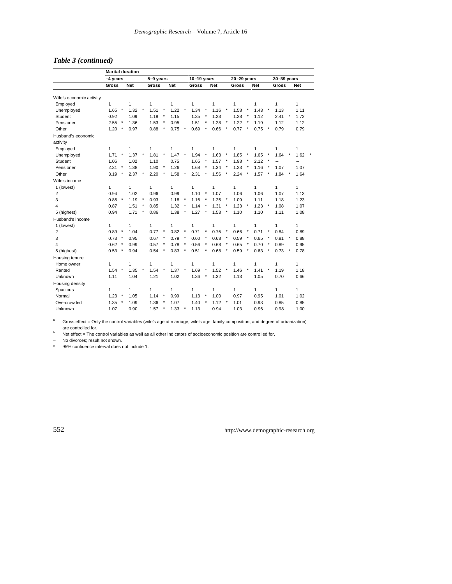### *Table 3 (continued)*

|                          |                      | <b>Marital duration</b> |              |          |              |          |              |          |               |                     |              |            |               |            |              |          |                 |          |                          |         |
|--------------------------|----------------------|-------------------------|--------------|----------|--------------|----------|--------------|----------|---------------|---------------------|--------------|------------|---------------|------------|--------------|----------|-----------------|----------|--------------------------|---------|
|                          | -4 years             |                         |              |          | 5-9 years    |          |              |          | $10-19$ years |                     |              |            | $20-29$ years |            |              |          | $30 - 39$ years |          |                          |         |
|                          | Gross                |                         | <b>Net</b>   |          | Gross        |          | Net          |          | Gross         |                     | Net          |            | Gross         |            | <b>Net</b>   |          | Gross           |          | Net                      |         |
| Wife's economic activity |                      |                         |              |          |              |          |              |          |               |                     |              |            |               |            |              |          |                 |          |                          |         |
| Employed                 | $\mathbf{1}$         |                         | 1            |          | 1            |          | 1            |          | 1             |                     | $\mathbf{1}$ |            | 1             |            | 1            |          | 1               |          | 1                        |         |
| Unemployed               | 1.65                 | $^\star$                | 1.32         | $^\star$ | 1.51         |          | 1.22         | $^\star$ | 1.34          | $^{\star}$          | 1.16         | $\star$    | 1.58          |            | 1.43         | $^\star$ | 1.13            |          | 1.11                     |         |
| Student                  | 0.92                 |                         | 1.09         |          | 1.18         |          | 1.15         |          | 1.35          |                     | 1.23         |            | 1.28          |            | 1.12         |          | 2.41            | $\star$  | 1.72                     |         |
| Pensioner                | 2.55                 |                         | 1.36         |          | 1.53         | $\star$  | 0.95         |          | 1.51          |                     | 1.28         | $^\star$   | 1.22          | $^\star$   | 1.19         |          | 1.12            |          | 1.12                     |         |
| Other                    | 1.20                 | $^\star$                | 0.97         |          | 0.88         |          | 0.75         | $\star$  | 0.69          |                     | 0.66         |            | 0.77          |            | 0.75         | $\star$  | 0.79            |          | 0.79                     |         |
| Husband's economic       |                      |                         |              |          |              |          |              |          |               |                     |              |            |               |            |              |          |                 |          |                          |         |
| activity                 |                      |                         |              |          |              |          |              |          |               |                     |              |            |               |            |              |          |                 |          |                          |         |
| Employed                 | 1                    |                         | 1            |          | 1            |          | 1            |          | 1             |                     | 1            |            | 1             |            | 1            |          | 1               | $^\star$ | 1                        | $\star$ |
| Unemployed               | 1.71                 | $^\star$                | 1.37         | $\star$  | 1.81         | $\star$  | 1.47         | $\star$  | 1.94          | $\star$<br>$^\star$ | 1.63         | $^{\star}$ | 1.85          | $^{\star}$ | 1.65         | $\star$  | 1.64            |          | 1.62                     |         |
| Student                  | 1.06                 |                         | 1.02         |          | 1.10         |          | 0.75         |          | 1.65          |                     | 1.57         |            | 1.98          |            | 2.12         |          |                 |          | $\overline{\phantom{0}}$ |         |
| Pensioner                | 2.31<br>3.19         | $^\star$                | 1.38<br>2.37 | $^\star$ | 1.90<br>2.20 | $^\star$ | 1.26<br>1.58 | $^\star$ | 1.68<br>2.31  | $\star$             | 1.34<br>1.56 | $\star$    | 1.23<br>2.24  | $\star$    | 1.16<br>1.57 | $\star$  | 1.07<br>1.84    | $\star$  | 1.07                     |         |
| Other                    |                      |                         |              |          |              |          |              |          |               |                     |              |            |               |            |              |          |                 |          | 1.64                     |         |
| Wife's income            |                      |                         |              |          |              |          |              |          |               |                     |              |            |               |            |              |          |                 |          |                          |         |
| 1 (lowest)               | $\mathbf{1}$<br>0.94 |                         | 1<br>1.02    |          | 1            |          | 1            |          | 1<br>1.10     | $^\star$            | 1            |            | 1             |            | 1<br>1.06    |          | 1<br>1.07       |          | 1                        |         |
| 2<br>3                   | 0.85                 | $\star$                 | 1.19         | $^\star$ | 0.96<br>0.93 |          | 0.99<br>1.18 | $\star$  | 1.16          | $^\star$            | 1.07<br>1.25 | $^\star$   | 1.06<br>1.09  |            | 1.11         |          | 1.18            |          | 1.13<br>1.23             |         |
| 4                        | 0.87                 |                         | 1.51         | $^\star$ | 0.85         |          | 1.32         | $\star$  | 1.14          | $^\star$            | 1.31         | $^\star$   | 1.23          | $^\star$   | 1.23         |          | 1.08            |          | 1.07                     |         |
| 5 (highest)              | 0.94                 |                         | 1.71         | $\star$  | 0.86         |          | 1.38         | $\star$  | 1.27          | $^\star$            | 1.53         | $\star$    | 1.10          |            | 1.10         |          | 1.11            |          | 1.08                     |         |
| Husband's income         |                      |                         |              |          |              |          |              |          |               |                     |              |            |               |            |              |          |                 |          |                          |         |
| 1 (lowest)               | $\mathbf{1}$         |                         | 1            |          | 1            |          | 1            |          | 1             |                     | 1            |            | 1             |            | 1            |          | $\mathbf{1}$    |          | 1                        |         |
| $\overline{2}$           | 0.89                 | $\star$                 | 1.04         |          | 0.77         | $\star$  | 0.82         | $^\star$ | 0.71          |                     | 0.75         |            | 0.66          | $\star$    | 0.71         |          | 0.84            |          | 0.89                     |         |
| 3                        | 0.73                 |                         | 0.95         |          | 0.67         | $\star$  | 0.79         |          | 0.60          |                     | 0.68         |            | 0.59          |            | 0.65         |          | 0.81            | $\star$  | 0.88                     |         |
| 4                        | 0.62                 | $\star$                 | 0.99         |          | 0.57         |          | 0.78         |          | 0.56          |                     | 0.68         |            | 0.65          |            | 0.70         |          | 0.89            |          | 0.95                     |         |
| 5 (highest)              | 0.53                 |                         | 0.94         |          | 0.54         |          | 0.83         |          | 0.51          |                     | 0.68         |            | 0.59          |            | 0.63         |          | 0.73            |          | 0.78                     |         |
| Housing tenure           |                      |                         |              |          |              |          |              |          |               |                     |              |            |               |            |              |          |                 |          |                          |         |
| Home owner               | 1                    |                         | 1            |          | 1            |          | 1            |          | 1             |                     | 1            |            | 1             |            | 1            |          | 1               |          | 1                        |         |
| Rented                   | 1.54                 |                         | 1.35         |          | 1.54         |          | 1.37         |          | 1.69          |                     | 1.52         |            | 1.46          |            | 1.41         |          | 1.19            |          | 1.18                     |         |
| Unknown                  | 1.11                 |                         | 1.04         |          | 1.21         |          | 1.02         |          | 1.36          |                     | 1.32         |            | 1.13          |            | 1.05         |          | 0.70            |          | 0.66                     |         |
| Housing density          |                      |                         |              |          |              |          |              |          |               |                     |              |            |               |            |              |          |                 |          |                          |         |
| Spacious                 | $\mathbf{1}$         |                         | 1            |          | 1            |          | 1            |          | 1             |                     | 1            |            | 1             |            | 1            |          | 1               |          | 1                        |         |
| Normal                   | 1.23                 |                         | 1.05         |          | 1.14         |          | 0.99         |          | 1.13          |                     | 1.00         |            | 0.97          |            | 0.95         |          | 1.01            |          | 1.02                     |         |
| Overcrowded              | 1.35                 | $^\star$                | 1.09         |          | 1.36         | $^\star$ | 1.07         |          | 1.40          | $^\star$            | 1.12         | $\star$    | 1.01          |            | 0.93         |          | 0.85            |          | 0.85                     |         |
| Unknown                  | 1.07                 |                         | 0.90         |          | 1.57         | $^\star$ | 1.33         | $^\star$ | 1.13          |                     | 0.94         |            | 1.03          |            | 0.96         |          | 0.98            |          | 1.00                     |         |

<sup>a</sup> Gross effect = Only the control variables (wife's age at marriage, wife's age, family composition, and degree of urbanization) are controlled for.

 $b$  Net effect = The control variables as well as all other indicators of socioeconomic position are controlled for.

– No divorces; result not shown.

95% confidence interval does not include 1.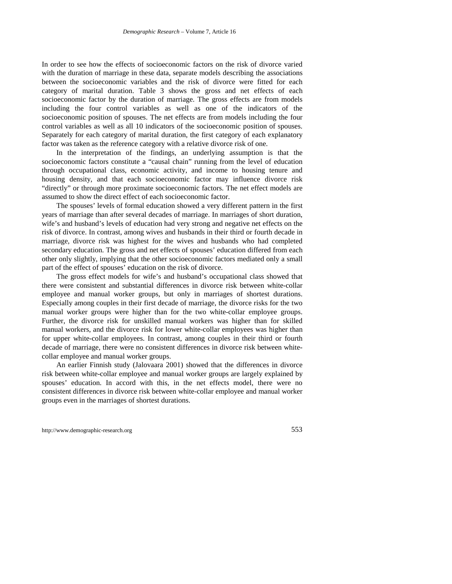In order to see how the effects of socioeconomic factors on the risk of divorce varied with the duration of marriage in these data, separate models describing the associations between the socioeconomic variables and the risk of divorce were fitted for each category of marital duration. Table 3 shows the gross and net effects of each socioeconomic factor by the duration of marriage. The gross effects are from models including the four control variables as well as one of the indicators of the socioeconomic position of spouses. The net effects are from models including the four control variables as well as all 10 indicators of the socioeconomic position of spouses. Separately for each category of marital duration, the first category of each explanatory factor was taken as the reference category with a relative divorce risk of one.

In the interpretation of the findings, an underlying assumption is that the socioeconomic factors constitute a "causal chain" running from the level of education through occupational class, economic activity, and income to housing tenure and housing density, and that each socioeconomic factor may influence divorce risk "directly" or through more proximate socioeconomic factors. The net effect models are assumed to show the direct effect of each socioeconomic factor.

The spouses' levels of formal education showed a very different pattern in the first years of marriage than after several decades of marriage. In marriages of short duration, wife's and husband's levels of education had very strong and negative net effects on the risk of divorce. In contrast, among wives and husbands in their third or fourth decade in marriage, divorce risk was highest for the wives and husbands who had completed secondary education. The gross and net effects of spouses' education differed from each other only slightly, implying that the other socioeconomic factors mediated only a small part of the effect of spouses' education on the risk of divorce.

The gross effect models for wife's and husband's occupational class showed that there were consistent and substantial differences in divorce risk between white-collar employee and manual worker groups, but only in marriages of shortest durations. Especially among couples in their first decade of marriage, the divorce risks for the two manual worker groups were higher than for the two white-collar employee groups. Further, the divorce risk for unskilled manual workers was higher than for skilled manual workers, and the divorce risk for lower white-collar employees was higher than for upper white-collar employees. In contrast, among couples in their third or fourth decade of marriage, there were no consistent differences in divorce risk between whitecollar employee and manual worker groups.

An earlier Finnish study (Jalovaara 2001) showed that the differences in divorce risk between white-collar employee and manual worker groups are largely explained by spouses' education. In accord with this, in the net effects model, there were no consistent differences in divorce risk between white-collar employee and manual worker groups even in the marriages of shortest durations.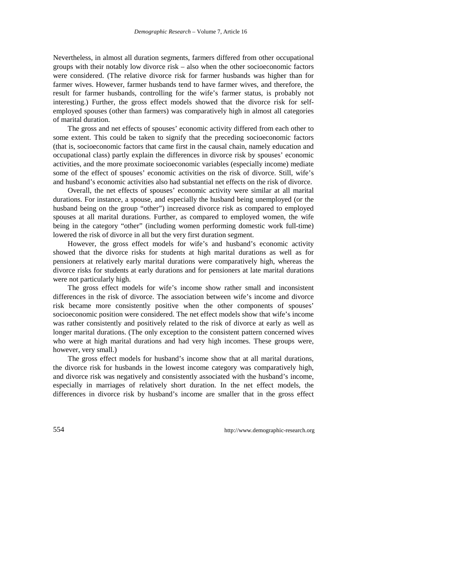Nevertheless, in almost all duration segments, farmers differed from other occupational groups with their notably low divorce risk – also when the other socioeconomic factors were considered. (The relative divorce risk for farmer husbands was higher than for farmer wives. However, farmer husbands tend to have farmer wives, and therefore, the result for farmer husbands, controlling for the wife's farmer status, is probably not interesting.) Further, the gross effect models showed that the divorce risk for selfemployed spouses (other than farmers) was comparatively high in almost all categories of marital duration.

The gross and net effects of spouses' economic activity differed from each other to some extent. This could be taken to signify that the preceding socioeconomic factors (that is, socioeconomic factors that came first in the causal chain, namely education and occupational class) partly explain the differences in divorce risk by spouses' economic activities, and the more proximate socioeconomic variables (especially income) mediate some of the effect of spouses' economic activities on the risk of divorce. Still, wife's and husband's economic activities also had substantial net effects on the risk of divorce.

Overall, the net effects of spouses' economic activity were similar at all marital durations. For instance, a spouse, and especially the husband being unemployed (or the husband being on the group "other") increased divorce risk as compared to employed spouses at all marital durations. Further, as compared to employed women, the wife being in the category "other" (including women performing domestic work full-time) lowered the risk of divorce in all but the very first duration segment.

However, the gross effect models for wife's and husband's economic activity showed that the divorce risks for students at high marital durations as well as for pensioners at relatively early marital durations were comparatively high, whereas the divorce risks for students at early durations and for pensioners at late marital durations were not particularly high.

The gross effect models for wife's income show rather small and inconsistent differences in the risk of divorce. The association between wife's income and divorce risk became more consistently positive when the other components of spouses' socioeconomic position were considered. The net effect models show that wife's income was rather consistently and positively related to the risk of divorce at early as well as longer marital durations. (The only exception to the consistent pattern concerned wives who were at high marital durations and had very high incomes. These groups were, however, very small.)

The gross effect models for husband's income show that at all marital durations, the divorce risk for husbands in the lowest income category was comparatively high, and divorce risk was negatively and consistently associated with the husband's income, especially in marriages of relatively short duration. In the net effect models, the differences in divorce risk by husband's income are smaller that in the gross effect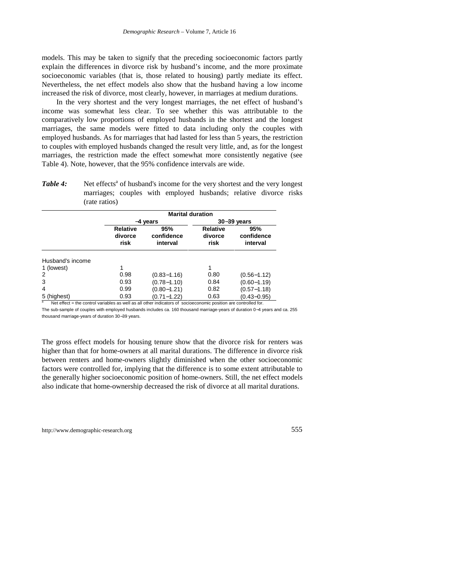models. This may be taken to signify that the preceding socioeconomic factors partly explain the differences in divorce risk by husband's income, and the more proximate socioeconomic variables (that is, those related to housing) partly mediate its effect. Nevertheless, the net effect models also show that the husband having a low income increased the risk of divorce, most clearly, however, in marriages at medium durations.

In the very shortest and the very longest marriages, the net effect of husband's income was somewhat less clear. To see whether this was attributable to the comparatively low proportions of employed husbands in the shortest and the longest marriages, the same models were fitted to data including only the couples with employed husbands. As for marriages that had lasted for less than 5 years, the restriction to couples with employed husbands changed the result very little, and, as for the longest marriages, the restriction made the effect somewhat more consistently negative (see Table 4). Note, however, that the 95% confidence intervals are wide.

|                  |                                    | <b>Marital duration</b>       |                                    |                               |
|------------------|------------------------------------|-------------------------------|------------------------------------|-------------------------------|
|                  |                                    | -4 years                      |                                    | $30 - 39$ years               |
|                  | <b>Relative</b><br>divorce<br>risk | 95%<br>confidence<br>interval | <b>Relative</b><br>divorce<br>risk | 95%<br>confidence<br>interval |
| Husband's income |                                    |                               |                                    |                               |
| 1 (lowest)       |                                    |                               |                                    |                               |
|                  | 0.98                               | $(0.83 - 1.16)$               | 0.80                               | $(0.56 - 1.12)$               |
| 3                | 0.93                               | $(0.78 - 1.10)$               | 0.84                               | $(0.60 - 1.19)$               |
| 4                | 0.99                               | $(0.80 - 1.21)$               | 0.82                               | $(0.57 - 1.18)$               |
| 5 (highest)      | 0.93                               | $(0.71 - 1.22)$               | 0.63                               | (0.43–0.95)                   |

| Table 4: | Net effects <sup>a</sup> of husband's income for the very shortest and the very longest |  |  |  |  |
|----------|-----------------------------------------------------------------------------------------|--|--|--|--|
|          | marriages; couples with employed husbands; relative divorce risks                       |  |  |  |  |
|          | (rate ratios)                                                                           |  |  |  |  |

Net effect = the control variables as well as all other indicators of socioeconomic position are controlled for. The sub-sample of couples with employed husbands includes ca. 160 thousand marriage-years of duration 0−4 years and ca. 255 thousand marriage-years of duration 30−39 years.

The gross effect models for housing tenure show that the divorce risk for renters was higher than that for home-owners at all marital durations. The difference in divorce risk between renters and home-owners slightly diminished when the other socioeconomic factors were controlled for, implying that the difference is to some extent attributable to the generally higher socioeconomic position of home-owners. Still, the net effect models also indicate that home-ownership decreased the risk of divorce at all marital durations.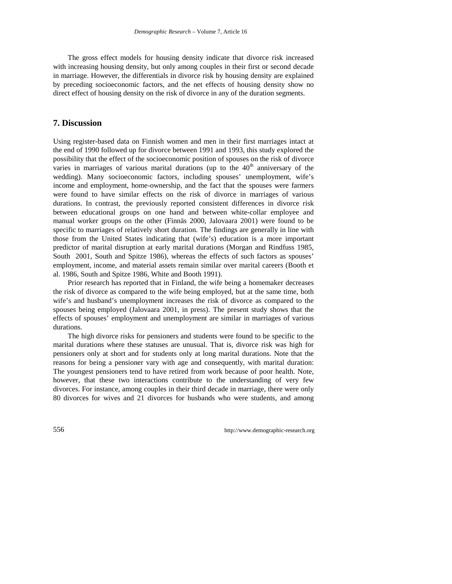The gross effect models for housing density indicate that divorce risk increased with increasing housing density, but only among couples in their first or second decade in marriage. However, the differentials in divorce risk by housing density are explained by preceding socioeconomic factors, and the net effects of housing density show no direct effect of housing density on the risk of divorce in any of the duration segments.

### **7. Discussion**

Using register-based data on Finnish women and men in their first marriages intact at the end of 1990 followed up for divorce between 1991 and 1993, this study explored the possibility that the effect of the socioeconomic position of spouses on the risk of divorce varies in marriages of various marital durations (up to the  $40<sup>th</sup>$  anniversary of the wedding). Many socioeconomic factors, including spouses' unemployment, wife's income and employment, home-ownership, and the fact that the spouses were farmers were found to have similar effects on the risk of divorce in marriages of various durations. In contrast, the previously reported consistent differences in divorce risk between educational groups on one hand and between white-collar employee and manual worker groups on the other (Finnäs 2000, Jalovaara 2001) were found to be specific to marriages of relatively short duration. The findings are generally in line with those from the United States indicating that (wife's) education is a more important predictor of marital disruption at early marital durations (Morgan and Rindfuss 1985, South 2001, South and Spitze 1986), whereas the effects of such factors as spouses' employment, income, and material assets remain similar over marital careers (Booth et al. 1986, South and Spitze 1986, White and Booth 1991).

Prior research has reported that in Finland, the wife being a homemaker decreases the risk of divorce as compared to the wife being employed, but at the same time, both wife's and husband's unemployment increases the risk of divorce as compared to the spouses being employed (Jalovaara 2001, in press). The present study shows that the effects of spouses' employment and unemployment are similar in marriages of various durations.

The high divorce risks for pensioners and students were found to be specific to the marital durations where these statuses are unusual. That is, divorce risk was high for pensioners only at short and for students only at long marital durations. Note that the reasons for being a pensioner vary with age and consequently, with marital duration: The youngest pensioners tend to have retired from work because of poor health. Note, however, that these two interactions contribute to the understanding of very few divorces. For instance, among couples in their third decade in marriage, there were only 80 divorces for wives and 21 divorces for husbands who were students, and among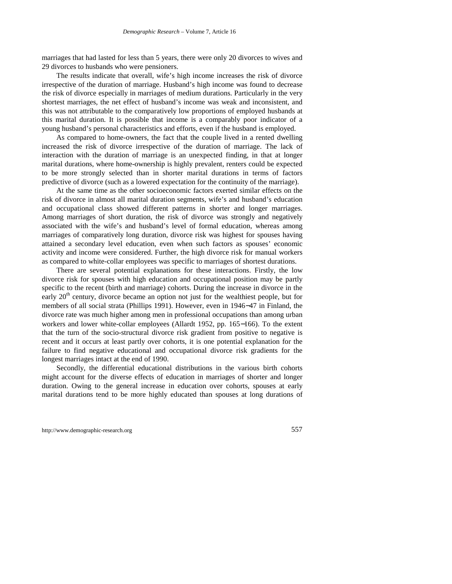marriages that had lasted for less than 5 years, there were only 20 divorces to wives and 29 divorces to husbands who were pensioners.

The results indicate that overall, wife's high income increases the risk of divorce irrespective of the duration of marriage. Husband's high income was found to decrease the risk of divorce especially in marriages of medium durations. Particularly in the very shortest marriages, the net effect of husband's income was weak and inconsistent, and this was not attributable to the comparatively low proportions of employed husbands at this marital duration. It is possible that income is a comparably poor indicator of a young husband's personal characteristics and efforts, even if the husband is employed.

As compared to home-owners, the fact that the couple lived in a rented dwelling increased the risk of divorce irrespective of the duration of marriage. The lack of interaction with the duration of marriage is an unexpected finding, in that at longer marital durations, where home-ownership is highly prevalent, renters could be expected to be more strongly selected than in shorter marital durations in terms of factors predictive of divorce (such as a lowered expectation for the continuity of the marriage).

At the same time as the other socioeconomic factors exerted similar effects on the risk of divorce in almost all marital duration segments, wife's and husband's education and occupational class showed different patterns in shorter and longer marriages. Among marriages of short duration, the risk of divorce was strongly and negatively associated with the wife's and husband's level of formal education, whereas among marriages of comparatively long duration, divorce risk was highest for spouses having attained a secondary level education, even when such factors as spouses' economic activity and income were considered. Further, the high divorce risk for manual workers as compared to white-collar employees was specific to marriages of shortest durations.

There are several potential explanations for these interactions. Firstly, the low divorce risk for spouses with high education and occupational position may be partly specific to the recent (birth and marriage) cohorts. During the increase in divorce in the early  $20<sup>th</sup>$  century, divorce became an option not just for the wealthiest people, but for members of all social strata (Phillips 1991). However, even in 1946−47 in Finland, the divorce rate was much higher among men in professional occupations than among urban workers and lower white-collar employees (Allardt 1952, pp. 165−166). To the extent that the turn of the socio-structural divorce risk gradient from positive to negative is recent and it occurs at least partly over cohorts, it is one potential explanation for the failure to find negative educational and occupational divorce risk gradients for the longest marriages intact at the end of 1990.

Secondly, the differential educational distributions in the various birth cohorts might account for the diverse effects of education in marriages of shorter and longer duration. Owing to the general increase in education over cohorts, spouses at early marital durations tend to be more highly educated than spouses at long durations of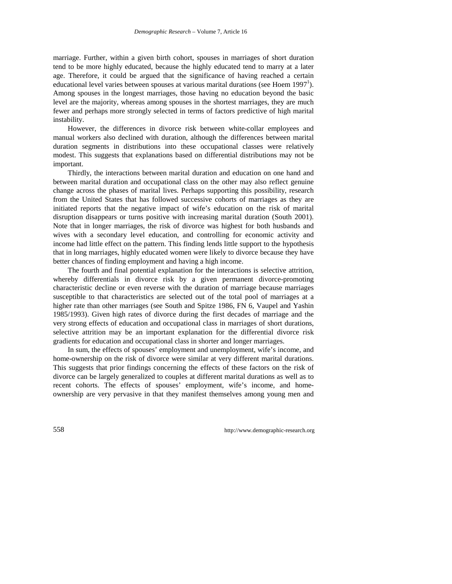marriage. Further, within a given birth cohort, spouses in marriages of short duration tend to be more highly educated, because the highly educated tend to marry at a later age. Therefore, it could be argued that the significance of having reached a certain educational level varies between spouses at various marital durations (see Hoem 1997<sup>1</sup>). Among spouses in the longest marriages, those having no education beyond the basic level are the majority, whereas among spouses in the shortest marriages, they are much fewer and perhaps more strongly selected in terms of factors predictive of high marital instability.

However, the differences in divorce risk between white-collar employees and manual workers also declined with duration, although the differences between marital duration segments in distributions into these occupational classes were relatively modest. This suggests that explanations based on differential distributions may not be important.

Thirdly, the interactions between marital duration and education on one hand and between marital duration and occupational class on the other may also reflect genuine change across the phases of marital lives. Perhaps supporting this possibility, research from the United States that has followed successive cohorts of marriages as they are initiated reports that the negative impact of wife's education on the risk of marital disruption disappears or turns positive with increasing marital duration (South 2001). Note that in longer marriages, the risk of divorce was highest for both husbands and wives with a secondary level education, and controlling for economic activity and income had little effect on the pattern. This finding lends little support to the hypothesis that in long marriages, highly educated women were likely to divorce because they have better chances of finding employment and having a high income.

The fourth and final potential explanation for the interactions is selective attrition, whereby differentials in divorce risk by a given permanent divorce-promoting characteristic decline or even reverse with the duration of marriage because marriages susceptible to that characteristics are selected out of the total pool of marriages at a higher rate than other marriages (see South and Spitze 1986, FN 6, Vaupel and Yashin 1985/1993). Given high rates of divorce during the first decades of marriage and the very strong effects of education and occupational class in marriages of short durations, selective attrition may be an important explanation for the differential divorce risk gradients for education and occupational class in shorter and longer marriages.

In sum, the effects of spouses' employment and unemployment, wife's income, and home-ownership on the risk of divorce were similar at very different marital durations. This suggests that prior findings concerning the effects of these factors on the risk of divorce can be largely generalized to couples at different marital durations as well as to recent cohorts. The effects of spouses' employment, wife's income, and homeownership are very pervasive in that they manifest themselves among young men and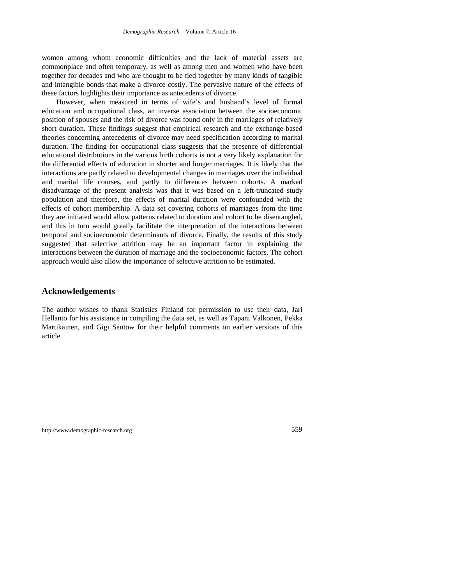women among whom economic difficulties and the lack of material assets are commonplace and often temporary, as well as among men and women who have been together for decades and who are thought to be tied together by many kinds of tangible and intangible bonds that make a divorce costly. The pervasive nature of the effects of these factors highlights their importance as antecedents of divorce.

However, when measured in terms of wife's and husband's level of formal education and occupational class, an inverse association between the socioeconomic position of spouses and the risk of divorce was found only in the marriages of relatively short duration. These findings suggest that empirical research and the exchange-based theories concerning antecedents of divorce may need specification according to marital duration. The finding for occupational class suggests that the presence of differential educational distributions in the various birth cohorts is not a very likely explanation for the differential effects of education in shorter and longer marriages. It is likely that the interactions are partly related to developmental changes in marriages over the individual and marital life courses, and partly to differences between cohorts. A marked disadvantage of the present analysis was that it was based on a left-truncated study population and therefore, the effects of marital duration were confounded with the effects of cohort membership. A data set covering cohorts of marriages from the time they are initiated would allow patterns related to duration and cohort to be disentangled, and this in turn would greatly facilitate the interpretation of the interactions between temporal and socioeconomic determinants of divorce. Finally, the results of this study suggested that selective attrition may be an important factor in explaining the interactions between the duration of marriage and the socioeconomic factors. The cohort approach would also allow the importance of selective attrition to be estimated.

### **Acknowledgements**

The author wishes to thank Statistics Finland for permission to use their data, Jari Hellanto for his assistance in compiling the data set, as well as Tapani Valkonen, Pekka Martikainen, and Gigi Santow for their helpful comments on earlier versions of this article.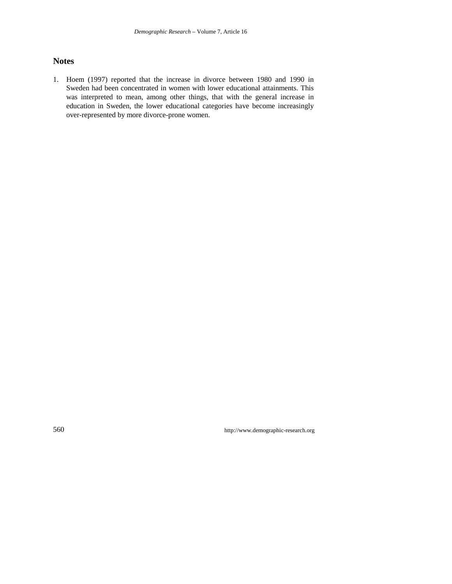# **Notes**

1. Hoem (1997) reported that the increase in divorce between 1980 and 1990 in Sweden had been concentrated in women with lower educational attainments. This was interpreted to mean, among other things, that with the general increase in education in Sweden, the lower educational categories have become increasingly over-represented by more divorce-prone women.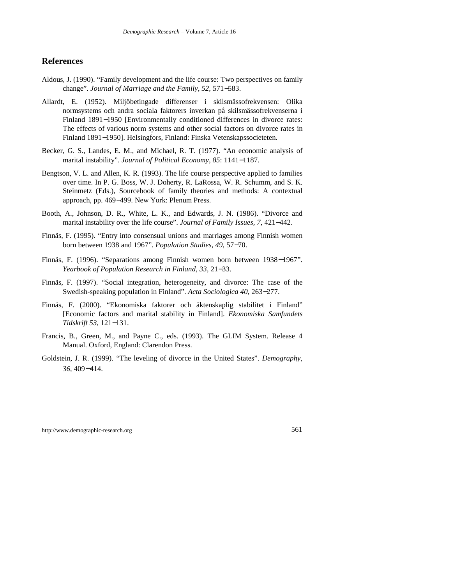### **References**

- Aldous, J. (1990). "Family development and the life course: Two perspectives on family change". *Journal of Marriage and the Family, 52,* 571−583.
- Allardt, E. (1952). Miljöbetingade differenser i skilsmässofrekvensen: Olika normsystems och andra sociala faktorers inverkan på skilsmässofrekvenserna i Finland 1891−1950 [Environmentally conditioned differences in divorce rates: The effects of various norm systems and other social factors on divorce rates in Finland 1891−1950]. Helsingfors, Finland: Finska Vetenskapssocieteten.
- Becker, G. S., Landes, E. M., and Michael, R. T. (1977). "An economic analysis of marital instability". *Journal of Political Economy, 85*: 1141−1187.
- Bengtson, V. L. and Allen, K. R. (1993). The life course perspective applied to families over time. In P. G. Boss, W. J. Doherty, R. LaRossa, W. R. Schumm, and S. K. Steinmetz (Eds.), Sourcebook of family theories and methods: A contextual approach, pp. 469−499. New York: Plenum Press.
- Booth, A., Johnson, D. R., White, L. K., and Edwards, J. N. (1986). "Divorce and marital instability over the life course". *Journal of Family Issues, 7*, 421−442.
- Finnäs, F. (1995). "Entry into consensual unions and marriages among Finnish women born between 1938 and 1967". *Population Studies, 49,* 57−70.
- Finnäs, F. (1996). "Separations among Finnish women born between 1938−1967". *Yearbook of Population Research in Finland, 33,* 21−33.
- Finnäs, F. (1997). "Social integration, heterogeneity, and divorce: The case of the Swedish-speaking population in Finland". *Acta Sociologica 40,* 263−277.
- Finnäs, F. (2000). "Ekonomiska faktorer och äktenskaplig stabilitet i Finland" [Economic factors and marital stability in Finland]. *Ekonomiska Samfundets Tidskrift 53,* 121−131.
- Francis, B., Green, M., and Payne C., eds. (1993). The GLIM System. Release 4 Manual. Oxford, England: Clarendon Press.
- Goldstein, J. R. (1999). "The leveling of divorce in the United States". *Demography, 36,* 409−414.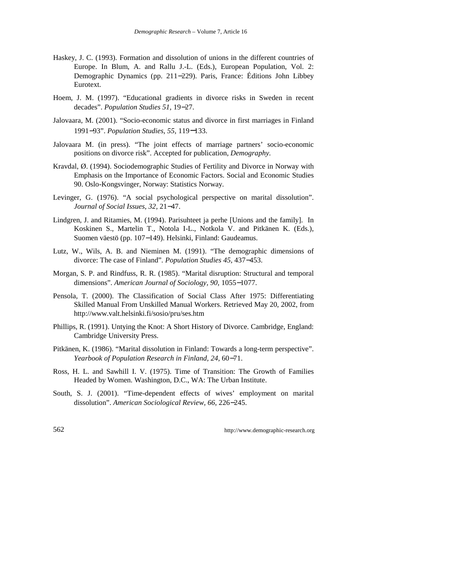- Haskey, J. C. (1993). Formation and dissolution of unions in the different countries of Europe. In Blum, A. and Rallu J.-L. (Eds.), European Population, Vol. 2: Demographic Dynamics (pp. 211−229). Paris, France: Éditions John Libbey Eurotext.
- Hoem, J. M. (1997). "Educational gradients in divorce risks in Sweden in recent decades". *Population Studies 51,* 19−27.
- Jalovaara, M. (2001). "Socio-economic status and divorce in first marriages in Finland 1991−93". *Population Studies, 55,* 119−133.
- Jalovaara M. (in press). "The joint effects of marriage partners' socio-economic positions on divorce risk". Accepted for publication, *Demography.*
- Kravdal, Ø. (1994). Sociodemographic Studies of Fertility and Divorce in Norway with Emphasis on the Importance of Economic Factors. Social and Economic Studies 90. Oslo-Kongsvinger, Norway: Statistics Norway.
- Levinger, G. (1976). "A social psychological perspective on marital dissolution". *Journal of Social Issues, 32,* 21−47.
- Lindgren, J. and Ritamies, M. (1994). Parisuhteet ja perhe [Unions and the family]. In Koskinen S., Martelin T., Notola I-L., Notkola V. and Pitkänen K. (Eds.), Suomen väestö (pp. 107−149). Helsinki, Finland: Gaudeamus.
- Lutz, W., Wils, A. B. and Nieminen M. (1991). "The demographic dimensions of divorce: The case of Finland"*. Population Studies 45,* 437−453.
- Morgan, S. P. and Rindfuss, R. R. (1985). "Marital disruption: Structural and temporal dimensions". *American Journal of Sociology, 90,* 1055−1077.
- Pensola, T. (2000). The Classification of Social Class After 1975: Differentiating Skilled Manual From Unskilled Manual Workers. Retrieved May 20, 2002, from http://www.valt.helsinki.fi/sosio/pru/ses.htm
- Phillips, R. (1991). Untying the Knot: A Short History of Divorce. Cambridge, England: Cambridge University Press.
- Pitkänen, K. (1986). "Marital dissolution in Finland: Towards a long-term perspective". *Yearbook of Population Research in Finland, 24,* 60−71.
- Ross, H. L. and Sawhill I. V. (1975). Time of Transition: The Growth of Families Headed by Women. Washington, D.C., WA: The Urban Institute.
- South, S. J. (2001). "Time-dependent effects of wives' employment on marital dissolution". *American Sociological Review, 66,* 226−245.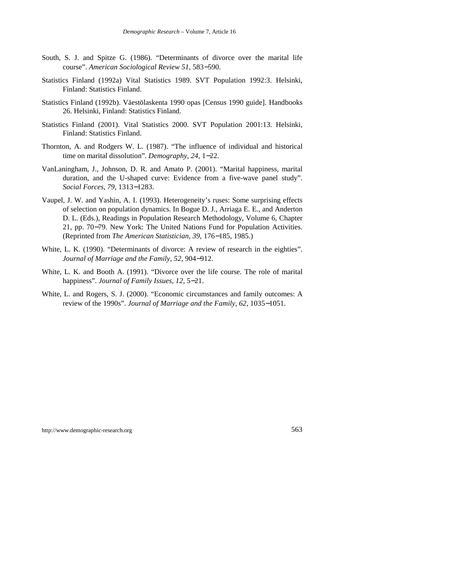- South, S. J. and Spitze G. (1986). "Determinants of divorce over the marital life course". *American Sociological Review 51,* 583−590.
- Statistics Finland (1992a) Vital Statistics 1989. SVT Population 1992:3. Helsinki, Finland: Statistics Finland.
- Statistics Finland (1992b). Väestölaskenta 1990 opas [Census 1990 guide]. Handbooks 26. Helsinki, Finland: Statistics Finland.
- Statistics Finland (2001). Vital Statistics 2000. SVT Population 2001:13. Helsinki, Finland: Statistics Finland.
- Thornton, A. and Rodgers W. L. (1987). "The influence of individual and historical time on marital dissolution". *Demography, 24,* 1−22.
- VanLaningham, J., Johnson, D. R. and Amato P. (2001). "Marital happiness, marital duration, and the U-shaped curve: Evidence from a five-wave panel study". *Social Forces, 79,* 1313−1283.
- Vaupel, J. W. and Yashin, A. I. (1993). Heterogeneity's ruses: Some surprising effects of selection on population dynamics. In Bogue D. J., Arriaga E. E., and Anderton D. L. (Eds.), Readings in Population Research Methodology, Volume 6, Chapter 21, pp. 70−79. New York: The United Nations Fund for Population Activities. (Reprinted from *The American Statistician, 39,* 176−185, 1985.)
- White, L. K. (1990). "Determinants of divorce: A review of research in the eighties". *Journal of Marriage and the Family, 52,* 904−912.
- White, L. K. and Booth A. (1991). "Divorce over the life course. The role of marital happiness". *Journal of Family Issues, 12,* 5−21.
- White, L. and Rogers, S. J. (2000). "Economic circumstances and family outcomes: A review of the 1990s". *Journal of Marriage and the Family, 62,* 1035−1051.